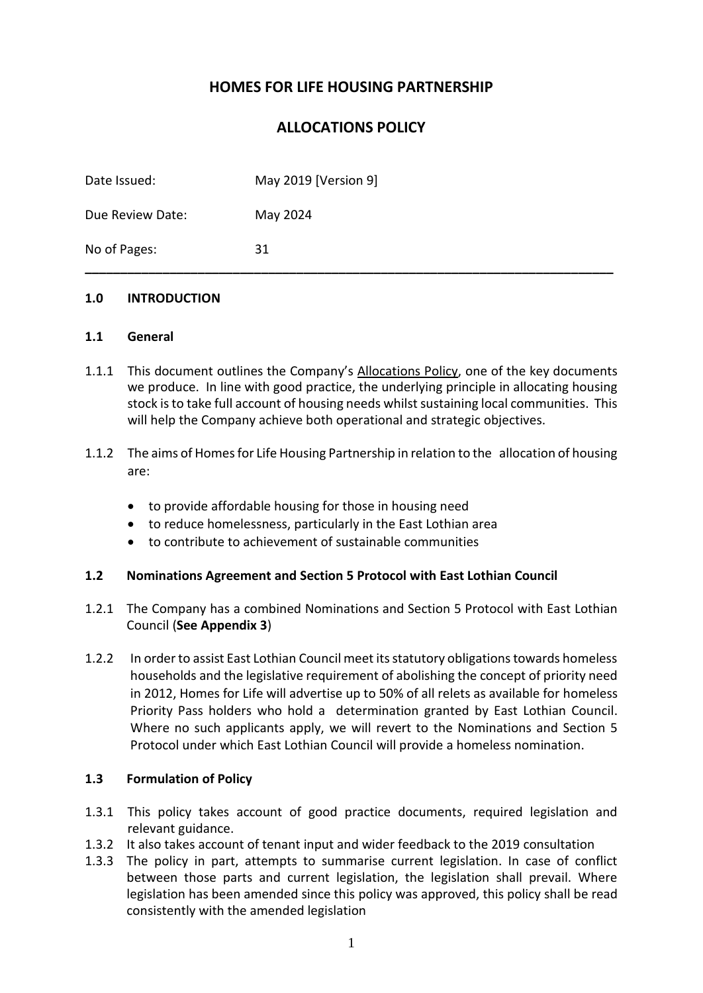# **HOMES FOR LIFE HOUSING PARTNERSHIP**

# **ALLOCATIONS POLICY**

| Date Issued:     | May 2019 [Version 9] |
|------------------|----------------------|
| Due Review Date: | May 2024             |
| No of Pages:     | 31                   |

### **1.0 INTRODUCTION**

#### **1.1 General**

- 1.1.1 This document outlines the Company's Allocations Policy, one of the key documents we produce. In line with good practice, the underlying principle in allocating housing stock is to take full account of housing needs whilst sustaining local communities. This will help the Company achieve both operational and strategic objectives.
- 1.1.2 The aims of Homes for Life Housing Partnership in relation to the allocation of housing are:
	- to provide affordable housing for those in housing need
	- to reduce homelessness, particularly in the East Lothian area
	- to contribute to achievement of sustainable communities

### **1.2 Nominations Agreement and Section 5 Protocol with East Lothian Council**

- 1.2.1 The Company has a combined Nominations and Section 5 Protocol with East Lothian Council (**See Appendix 3**)
- 1.2.2 In order to assist East Lothian Council meet its statutory obligations towards homeless households and the legislative requirement of abolishing the concept of priority need in 2012, Homes for Life will advertise up to 50% of all relets as available for homeless Priority Pass holders who hold a determination granted by East Lothian Council. Where no such applicants apply, we will revert to the Nominations and Section 5 Protocol under which East Lothian Council will provide a homeless nomination.

### **1.3 Formulation of Policy**

- 1.3.1 This policy takes account of good practice documents, required legislation and relevant guidance.
- 1.3.2 It also takes account of tenant input and wider feedback to the 2019 consultation
- 1.3.3 The policy in part, attempts to summarise current legislation. In case of conflict between those parts and current legislation, the legislation shall prevail. Where legislation has been amended since this policy was approved, this policy shall be read consistently with the amended legislation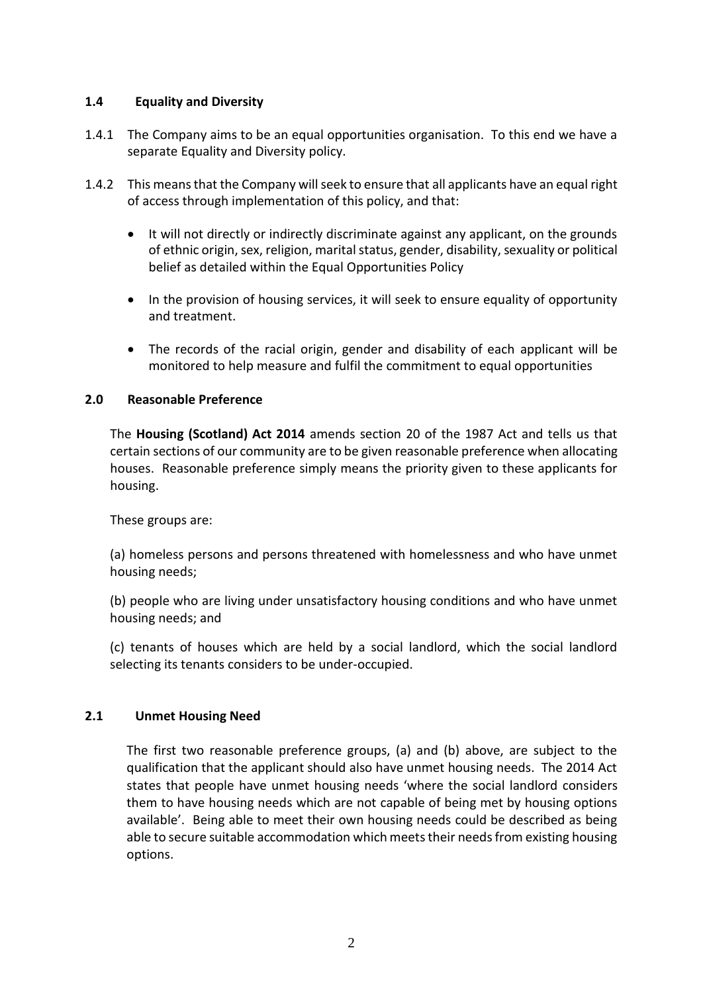## **1.4 Equality and Diversity**

- 1.4.1 The Company aims to be an equal opportunities organisation. To this end we have a separate Equality and Diversity policy.
- 1.4.2 This means that the Company will seek to ensure that all applicants have an equal right of access through implementation of this policy, and that:
	- It will not directly or indirectly discriminate against any applicant, on the grounds of ethnic origin, sex, religion, marital status, gender, disability, sexuality or political belief as detailed within the Equal Opportunities Policy
	- In the provision of housing services, it will seek to ensure equality of opportunity and treatment.
	- The records of the racial origin, gender and disability of each applicant will be monitored to help measure and fulfil the commitment to equal opportunities

## **2.0 Reasonable Preference**

The **Housing (Scotland) Act 2014** amends section 20 of the 1987 Act and tells us that certain sections of our community are to be given reasonable preference when allocating houses. Reasonable preference simply means the priority given to these applicants for housing.

These groups are:

(a) homeless persons and persons threatened with homelessness and who have unmet housing needs;

(b) people who are living under unsatisfactory housing conditions and who have unmet housing needs; and

(c) tenants of houses which are held by a social landlord, which the social landlord selecting its tenants considers to be under-occupied.

### **2.1 Unmet Housing Need**

The first two reasonable preference groups, (a) and (b) above, are subject to the qualification that the applicant should also have unmet housing needs. The 2014 Act states that people have unmet housing needs 'where the social landlord considers them to have housing needs which are not capable of being met by housing options available'. Being able to meet their own housing needs could be described as being able to secure suitable accommodation which meets their needs from existing housing options.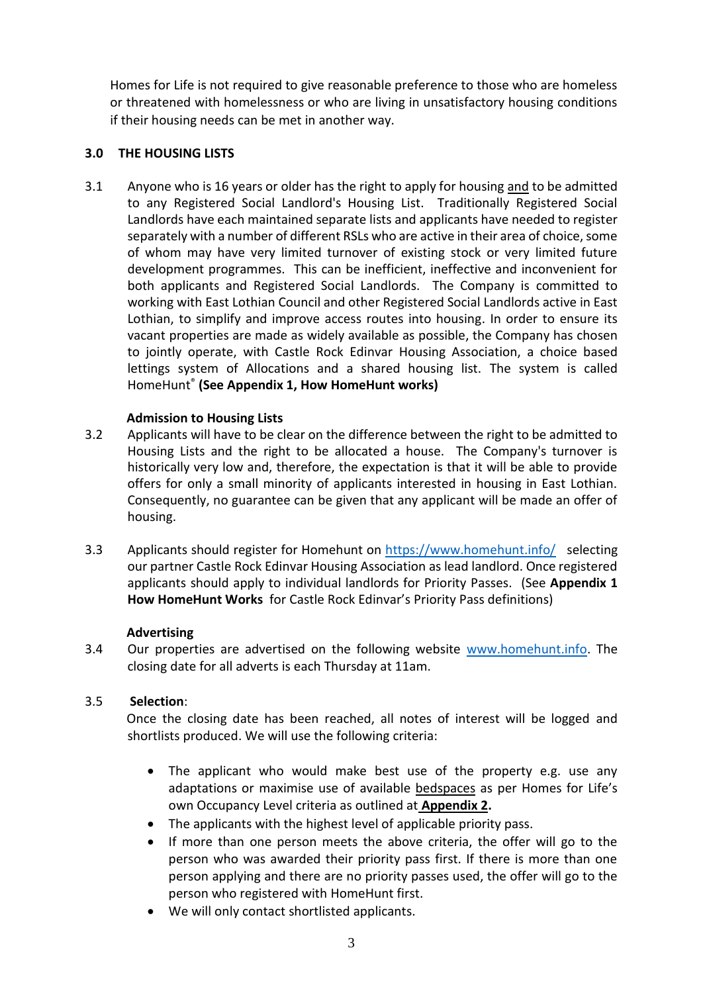Homes for Life is not required to give reasonable preference to those who are homeless or threatened with homelessness or who are living in unsatisfactory housing conditions if their housing needs can be met in another way.

## **3.0 THE HOUSING LISTS**

3.1 Anyone who is 16 years or older has the right to apply for housing and to be admitted to any Registered Social Landlord's Housing List. Traditionally Registered Social Landlords have each maintained separate lists and applicants have needed to register separately with a number of different RSLs who are active in their area of choice, some of whom may have very limited turnover of existing stock or very limited future development programmes. This can be inefficient, ineffective and inconvenient for both applicants and Registered Social Landlords. The Company is committed to working with East Lothian Council and other Registered Social Landlords active in East Lothian, to simplify and improve access routes into housing. In order to ensure its vacant properties are made as widely available as possible, the Company has chosen to jointly operate, with Castle Rock Edinvar Housing Association, a choice based lettings system of Allocations and a shared housing list. The system is called HomeHunt® **(See Appendix 1, How HomeHunt works)**

## **Admission to Housing Lists**

- 3.2 Applicants will have to be clear on the difference between the right to be admitted to Housing Lists and the right to be allocated a house. The Company's turnover is historically very low and, therefore, the expectation is that it will be able to provide offers for only a small minority of applicants interested in housing in East Lothian. Consequently, no guarantee can be given that any applicant will be made an offer of housing.
- 3.3 Applicants should register for Homehunt on<https://www.homehunt.info/>selecting our partner Castle Rock Edinvar Housing Association as lead landlord. Once registered applicants should apply to individual landlords for Priority Passes. (See **Appendix 1 How HomeHunt Works** for Castle Rock Edinvar's Priority Pass definitions)

### **Advertising**

3.4 Our properties are advertised on the following website [www.homehunt.info.](http://www.homehunt.info/) The closing date for all adverts is each Thursday at 11am.

### 3.5 **Selection**:

Once the closing date has been reached, all notes of interest will be logged and shortlists produced. We will use the following criteria:

- The applicant who would make best use of the property e.g. use any adaptations or maximise use of available bedspaces as per Homes for Life's own Occupancy Level criteria as outlined at **Appendix 2.**
- The applicants with the highest level of applicable priority pass.
- If more than one person meets the above criteria, the offer will go to the person who was awarded their priority pass first. If there is more than one person applying and there are no priority passes used, the offer will go to the person who registered with HomeHunt first.
- We will only contact shortlisted applicants.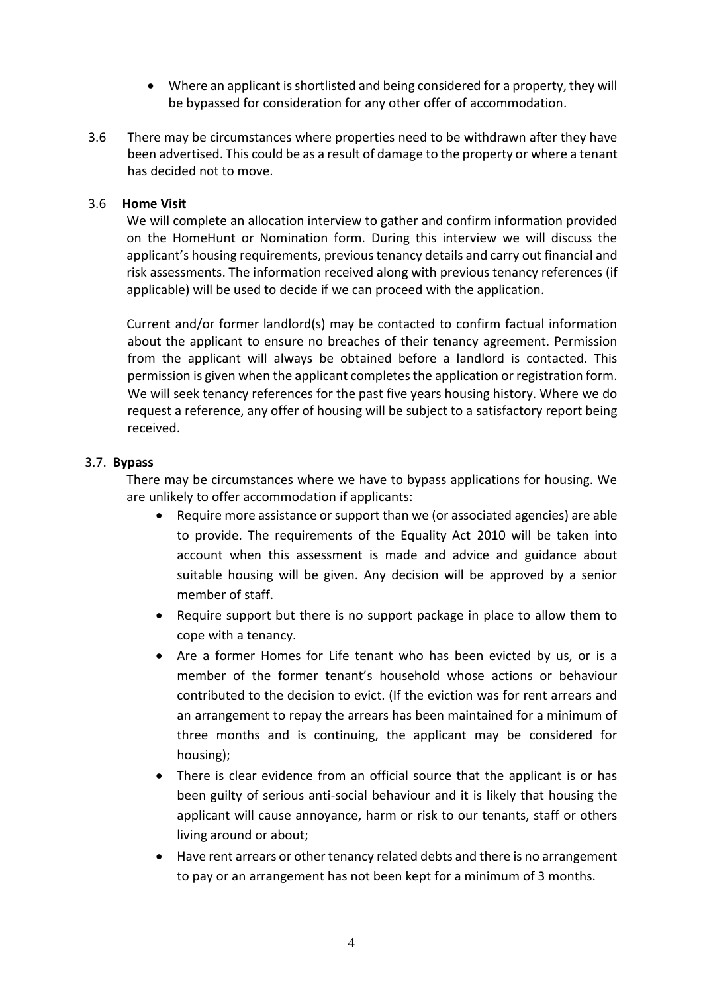- Where an applicant is shortlisted and being considered for a property, they will be bypassed for consideration for any other offer of accommodation.
- 3.6 There may be circumstances where properties need to be withdrawn after they have been advertised. This could be as a result of damage to the property or where a tenant has decided not to move.

### 3.6 **Home Visit**

We will complete an allocation interview to gather and confirm information provided on the HomeHunt or Nomination form. During this interview we will discuss the applicant's housing requirements, previous tenancy details and carry out financial and risk assessments. The information received along with previous tenancy references (if applicable) will be used to decide if we can proceed with the application.

Current and/or former landlord(s) may be contacted to confirm factual information about the applicant to ensure no breaches of their tenancy agreement. Permission from the applicant will always be obtained before a landlord is contacted. This permission is given when the applicant completes the application or registration form. We will seek tenancy references for the past five years housing history. Where we do request a reference, any offer of housing will be subject to a satisfactory report being received.

## 3.7. **Bypass**

There may be circumstances where we have to bypass applications for housing. We are unlikely to offer accommodation if applicants:

- Require more assistance or support than we (or associated agencies) are able to provide. The requirements of the Equality Act 2010 will be taken into account when this assessment is made and advice and guidance about suitable housing will be given. Any decision will be approved by a senior member of staff.
- Require support but there is no support package in place to allow them to cope with a tenancy.
- Are a former Homes for Life tenant who has been evicted by us, or is a member of the former tenant's household whose actions or behaviour contributed to the decision to evict. (If the eviction was for rent arrears and an arrangement to repay the arrears has been maintained for a minimum of three months and is continuing, the applicant may be considered for housing);
- There is clear evidence from an official source that the applicant is or has been guilty of serious anti-social behaviour and it is likely that housing the applicant will cause annoyance, harm or risk to our tenants, staff or others living around or about;
- Have rent arrears or other tenancy related debts and there is no arrangement to pay or an arrangement has not been kept for a minimum of 3 months.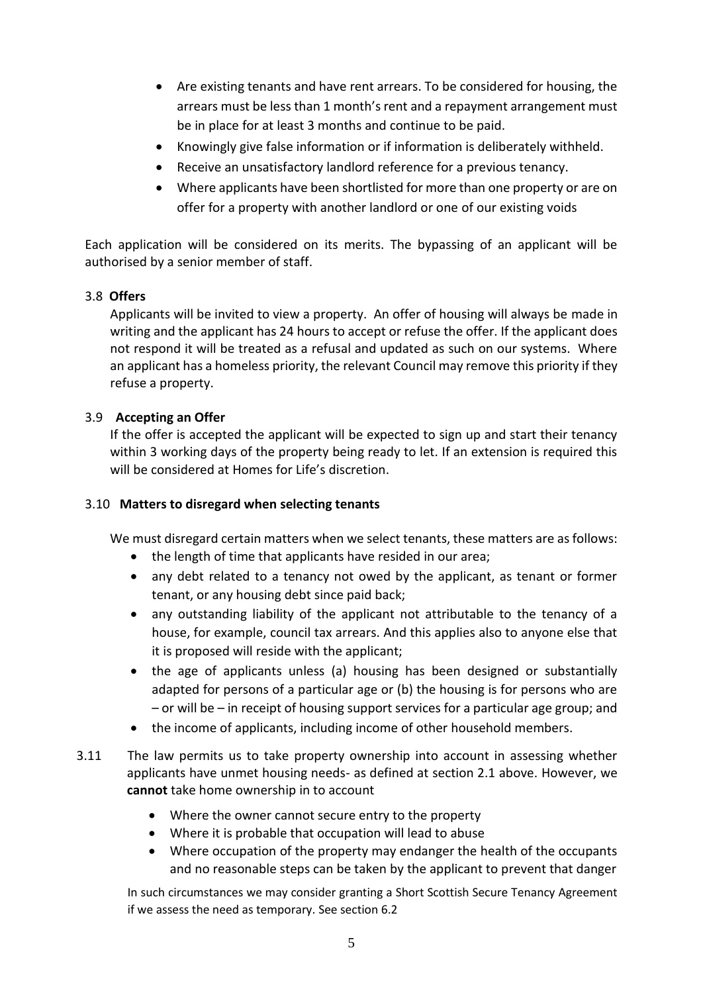- Are existing tenants and have rent arrears. To be considered for housing, the arrears must be less than 1 month's rent and a repayment arrangement must be in place for at least 3 months and continue to be paid.
- Knowingly give false information or if information is deliberately withheld.
- Receive an unsatisfactory landlord reference for a previous tenancy.
- Where applicants have been shortlisted for more than one property or are on offer for a property with another landlord or one of our existing voids

Each application will be considered on its merits. The bypassing of an applicant will be authorised by a senior member of staff.

## 3.8 **Offers**

Applicants will be invited to view a property. An offer of housing will always be made in writing and the applicant has 24 hours to accept or refuse the offer. If the applicant does not respond it will be treated as a refusal and updated as such on our systems. Where an applicant has a homeless priority, the relevant Council may remove this priority if they refuse a property.

## 3.9 **Accepting an Offer**

If the offer is accepted the applicant will be expected to sign up and start their tenancy within 3 working days of the property being ready to let. If an extension is required this will be considered at Homes for Life's discretion.

### 3.10 **Matters to disregard when selecting tenants**

We must disregard certain matters when we select tenants, these matters are as follows:

- the length of time that applicants have resided in our area;
- any debt related to a tenancy not owed by the applicant, as tenant or former tenant, or any housing debt since paid back;
- any outstanding liability of the applicant not attributable to the tenancy of a house, for example, council tax arrears. And this applies also to anyone else that it is proposed will reside with the applicant;
- the age of applicants unless (a) housing has been designed or substantially adapted for persons of a particular age or (b) the housing is for persons who are – or will be – in receipt of housing support services for a particular age group; and
- the income of applicants, including income of other household members.
- 3.11 The law permits us to take property ownership into account in assessing whether applicants have unmet housing needs- as defined at section 2.1 above. However, we **cannot** take home ownership in to account
	- Where the owner cannot secure entry to the property
	- Where it is probable that occupation will lead to abuse
	- Where occupation of the property may endanger the health of the occupants and no reasonable steps can be taken by the applicant to prevent that danger

In such circumstances we may consider granting a Short Scottish Secure Tenancy Agreement if we assess the need as temporary. See section 6.2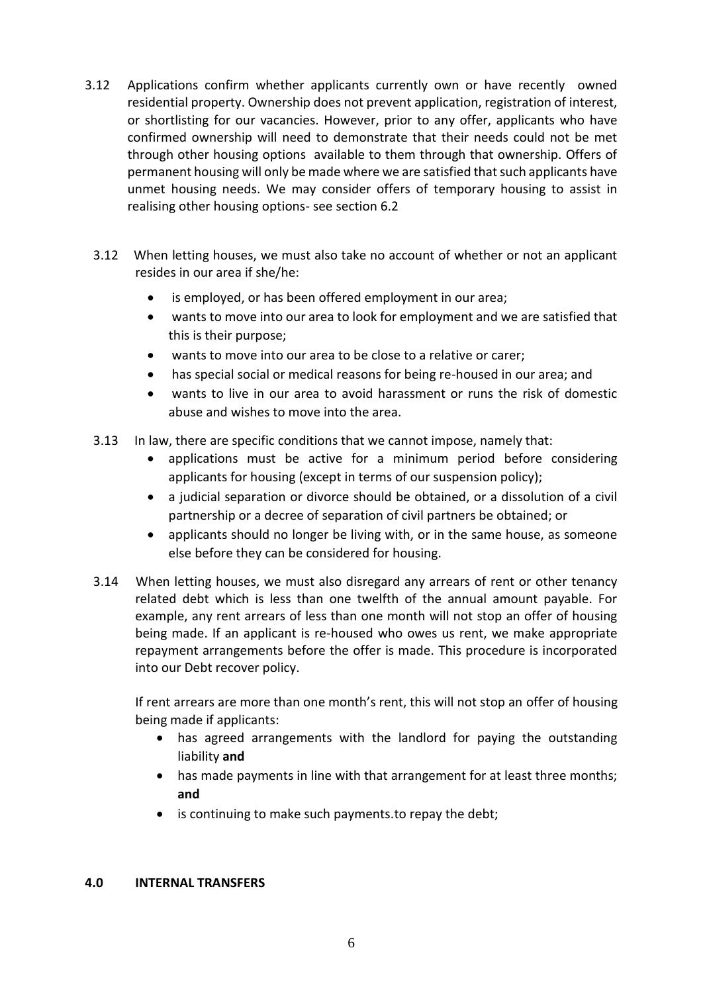- 3.12 Applications confirm whether applicants currently own or have recently owned residential property. Ownership does not prevent application, registration of interest, or shortlisting for our vacancies. However, prior to any offer, applicants who have confirmed ownership will need to demonstrate that their needs could not be met through other housing options available to them through that ownership. Offers of permanent housing will only be made where we are satisfied that such applicants have unmet housing needs. We may consider offers of temporary housing to assist in realising other housing options- see section 6.2
	- 3.12 When letting houses, we must also take no account of whether or not an applicant resides in our area if she/he:
		- is employed, or has been offered employment in our area;
		- wants to move into our area to look for employment and we are satisfied that this is their purpose;
		- wants to move into our area to be close to a relative or carer;
		- has special social or medical reasons for being re-housed in our area; and
		- wants to live in our area to avoid harassment or runs the risk of domestic abuse and wishes to move into the area.
	- 3.13 In law, there are specific conditions that we cannot impose, namely that:
		- applications must be active for a minimum period before considering applicants for housing (except in terms of our suspension policy);
		- a judicial separation or divorce should be obtained, or a dissolution of a civil partnership or a decree of separation of civil partners be obtained; or
		- applicants should no longer be living with, or in the same house, as someone else before they can be considered for housing.
	- 3.14 When letting houses, we must also disregard any arrears of rent or other tenancy related debt which is less than one twelfth of the annual amount payable. For example, any rent arrears of less than one month will not stop an offer of housing being made. If an applicant is re-housed who owes us rent, we make appropriate repayment arrangements before the offer is made. This procedure is incorporated into our Debt recover policy.

If rent arrears are more than one month's rent, this will not stop an offer of housing being made if applicants:

- has agreed arrangements with the landlord for paying the outstanding liability **and**
- has made payments in line with that arrangement for at least three months; **and**
- is continuing to make such payments.to repay the debt;

### **4.0 INTERNAL TRANSFERS**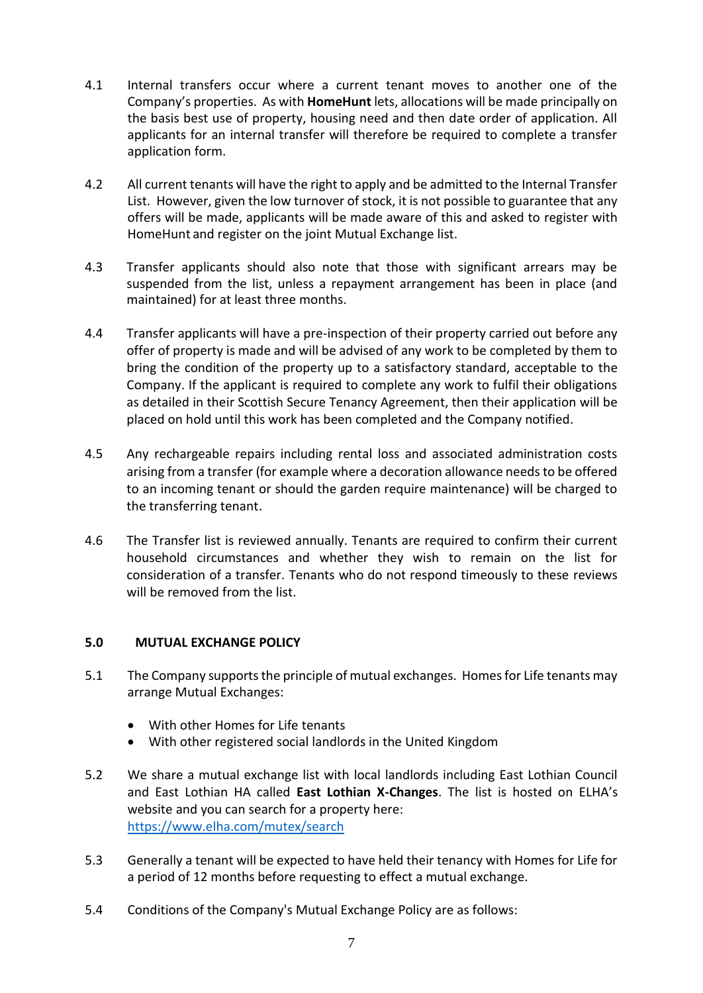- 4.1 Internal transfers occur where a current tenant moves to another one of the Company's properties. As with **HomeHunt** lets, allocations will be made principally on the basis best use of property, housing need and then date order of application. All applicants for an internal transfer will therefore be required to complete a transfer application form.
- 4.2 All current tenants will have the right to apply and be admitted to the Internal Transfer List. However, given the low turnover of stock, it is not possible to guarantee that any offers will be made, applicants will be made aware of this and asked to register with HomeHunt and register on the joint Mutual Exchange list.
- 4.3 Transfer applicants should also note that those with significant arrears may be suspended from the list, unless a repayment arrangement has been in place (and maintained) for at least three months.
- 4.4 Transfer applicants will have a pre-inspection of their property carried out before any offer of property is made and will be advised of any work to be completed by them to bring the condition of the property up to a satisfactory standard, acceptable to the Company. If the applicant is required to complete any work to fulfil their obligations as detailed in their Scottish Secure Tenancy Agreement, then their application will be placed on hold until this work has been completed and the Company notified.
- 4.5 Any rechargeable repairs including rental loss and associated administration costs arising from a transfer (for example where a decoration allowance needs to be offered to an incoming tenant or should the garden require maintenance) will be charged to the transferring tenant.
- 4.6 The Transfer list is reviewed annually. Tenants are required to confirm their current household circumstances and whether they wish to remain on the list for consideration of a transfer. Tenants who do not respond timeously to these reviews will be removed from the list.

### **5.0 MUTUAL EXCHANGE POLICY**

- 5.1 The Company supports the principle of mutual exchanges. Homes for Life tenants may arrange Mutual Exchanges:
	- With other Homes for Life tenants
	- With other registered social landlords in the United Kingdom
- 5.2 We share a mutual exchange list with local landlords including East Lothian Council and East Lothian HA called **East Lothian X-Changes**. The list is hosted on ELHA's website and you can search for a property here: <https://www.elha.com/mutex/search>
- 5.3 Generally a tenant will be expected to have held their tenancy with Homes for Life for a period of 12 months before requesting to effect a mutual exchange.
- 5.4 Conditions of the Company's Mutual Exchange Policy are as follows: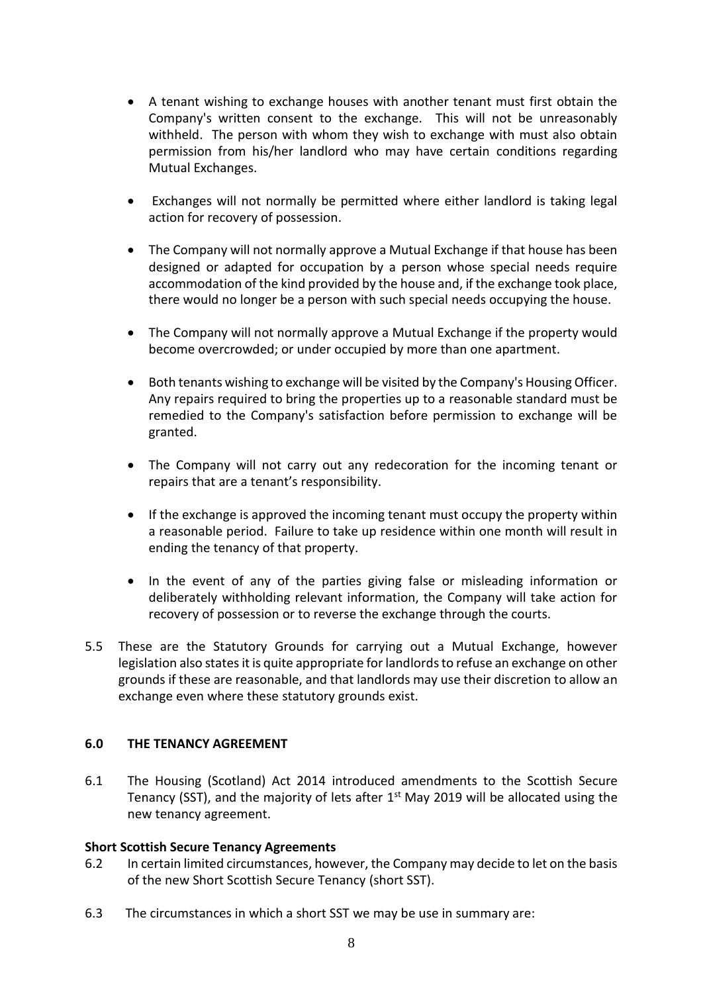- A tenant wishing to exchange houses with another tenant must first obtain the Company's written consent to the exchange. This will not be unreasonably withheld. The person with whom they wish to exchange with must also obtain permission from his/her landlord who may have certain conditions regarding Mutual Exchanges.
- Exchanges will not normally be permitted where either landlord is taking legal action for recovery of possession.
- The Company will not normally approve a Mutual Exchange if that house has been designed or adapted for occupation by a person whose special needs require accommodation of the kind provided by the house and, if the exchange took place, there would no longer be a person with such special needs occupying the house.
- The Company will not normally approve a Mutual Exchange if the property would become overcrowded; or under occupied by more than one apartment.
- Both tenants wishing to exchange will be visited by the Company's Housing Officer. Any repairs required to bring the properties up to a reasonable standard must be remedied to the Company's satisfaction before permission to exchange will be granted.
- The Company will not carry out any redecoration for the incoming tenant or repairs that are a tenant's responsibility.
- If the exchange is approved the incoming tenant must occupy the property within a reasonable period. Failure to take up residence within one month will result in ending the tenancy of that property.
- In the event of any of the parties giving false or misleading information or deliberately withholding relevant information, the Company will take action for recovery of possession or to reverse the exchange through the courts.
- 5.5 These are the Statutory Grounds for carrying out a Mutual Exchange, however legislation also states it is quite appropriate for landlords to refuse an exchange on other grounds if these are reasonable, and that landlords may use their discretion to allow an exchange even where these statutory grounds exist.

## **6.0 THE TENANCY AGREEMENT**

6.1 The Housing (Scotland) Act 2014 introduced amendments to the Scottish Secure Tenancy (SST), and the majority of lets after  $1<sup>st</sup>$  May 2019 will be allocated using the new tenancy agreement.

### **Short Scottish Secure Tenancy Agreements**

- 6.2 In certain limited circumstances, however, the Company may decide to let on the basis of the new Short Scottish Secure Tenancy (short SST).
- 6.3 The circumstances in which a short SST we may be use in summary are: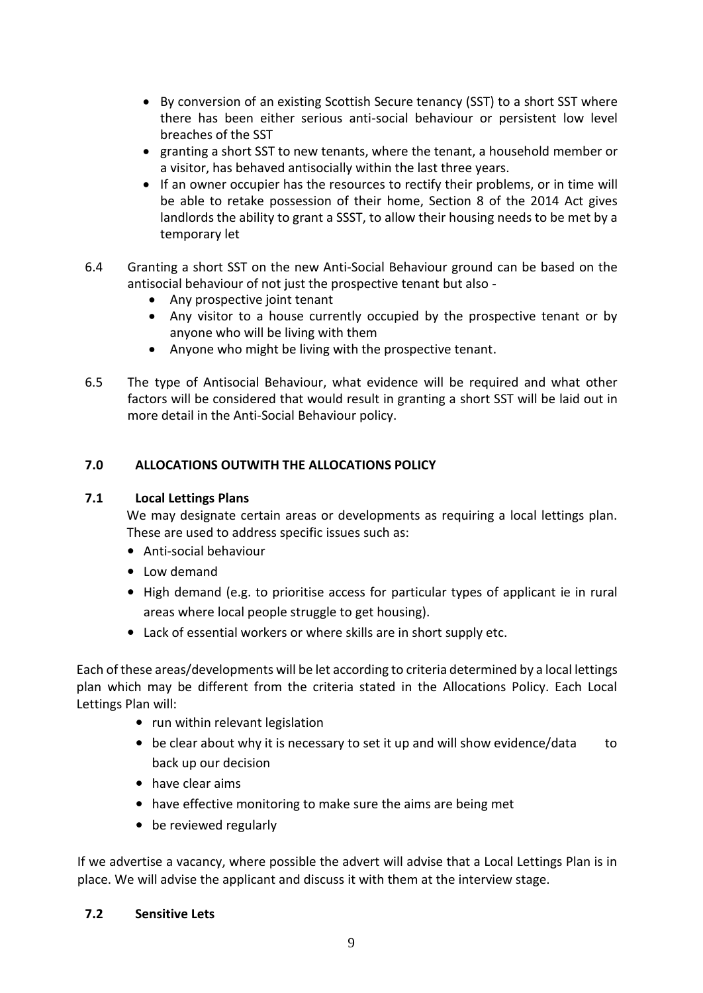- By conversion of an existing Scottish Secure tenancy (SST) to a short SST where there has been either serious anti-social behaviour or persistent low level breaches of the SST
- granting a short SST to new tenants, where the tenant, a household member or a visitor, has behaved antisocially within the last three years.
- If an owner occupier has the resources to rectify their problems, or in time will be able to retake possession of their home, Section 8 of the 2014 Act gives landlords the ability to grant a SSST, to allow their housing needs to be met by a temporary let
- 6.4 Granting a short SST on the new Anti-Social Behaviour ground can be based on the antisocial behaviour of not just the prospective tenant but also -
	- Any prospective joint tenant
	- Any visitor to a house currently occupied by the prospective tenant or by anyone who will be living with them
	- Anyone who might be living with the prospective tenant.
- 6.5 The type of Antisocial Behaviour, what evidence will be required and what other factors will be considered that would result in granting a short SST will be laid out in more detail in the Anti-Social Behaviour policy.

## **7.0 ALLOCATIONS OUTWITH THE ALLOCATIONS POLICY**

### **7.1 Local Lettings Plans**

We may designate certain areas or developments as requiring a local lettings plan. These are used to address specific issues such as:

- Anti-social behaviour
- Low demand
- High demand (e.g. to prioritise access for particular types of applicant ie in rural areas where local people struggle to get housing).
- Lack of essential workers or where skills are in short supply etc.

Each of these areas/developments will be let according to criteria determined by a local lettings plan which may be different from the criteria stated in the Allocations Policy. Each Local Lettings Plan will:

- run within relevant legislation
- be clear about why it is necessary to set it up and will show evidence/data to back up our decision
- have clear aims
- have effective monitoring to make sure the aims are being met
- be reviewed regularly

If we advertise a vacancy, where possible the advert will advise that a Local Lettings Plan is in place. We will advise the applicant and discuss it with them at the interview stage.

### **7.2 Sensitive Lets**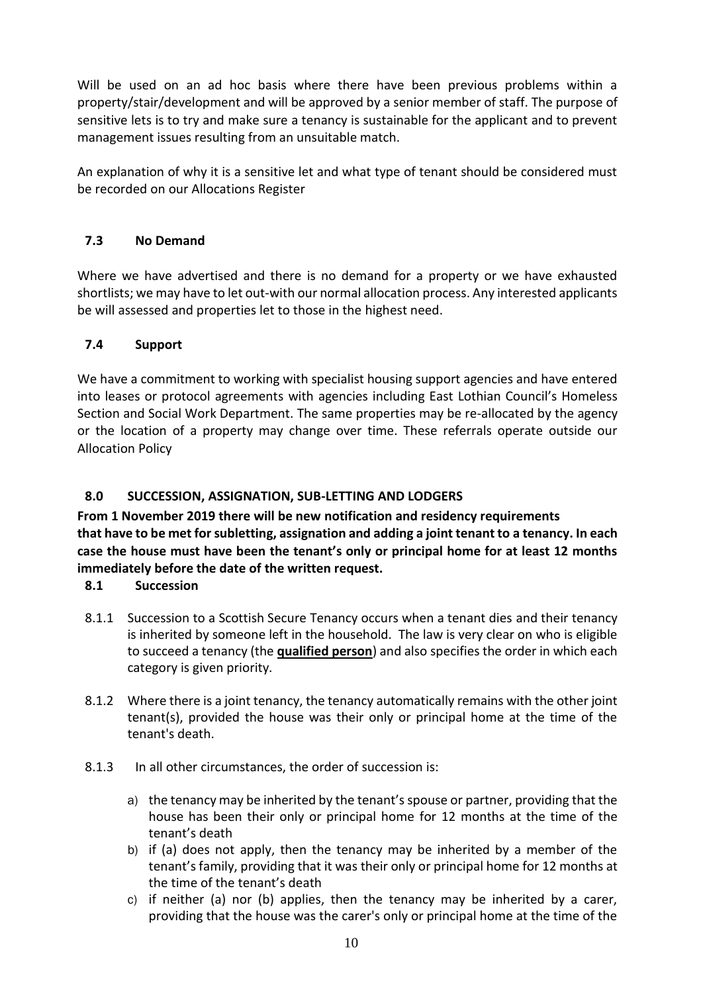Will be used on an ad hoc basis where there have been previous problems within a property/stair/development and will be approved by a senior member of staff. The purpose of sensitive lets is to try and make sure a tenancy is sustainable for the applicant and to prevent management issues resulting from an unsuitable match.

An explanation of why it is a sensitive let and what type of tenant should be considered must be recorded on our Allocations Register

# **7.3 No Demand**

Where we have advertised and there is no demand for a property or we have exhausted shortlists; we may have to let out-with our normal allocation process. Any interested applicants be will assessed and properties let to those in the highest need.

# **7.4 Support**

We have a commitment to working with specialist housing support agencies and have entered into leases or protocol agreements with agencies including East Lothian Council's Homeless Section and Social Work Department. The same properties may be re-allocated by the agency or the location of a property may change over time. These referrals operate outside our Allocation Policy

# **8.0 SUCCESSION, ASSIGNATION, SUB-LETTING AND LODGERS**

**From 1 November 2019 there will be new notification and residency requirements that have to be met for subletting, assignation and adding a joint tenant to a tenancy. In each case the house must have been the tenant's only or principal home for at least 12 months immediately before the date of the written request.**

## **8.1 Succession**

- 8.1.1 Succession to a Scottish Secure Tenancy occurs when a tenant dies and their tenancy is inherited by someone left in the household. The law is very clear on who is eligible to succeed a tenancy (the **qualified person**) and also specifies the order in which each category is given priority.
- 8.1.2 Where there is a joint tenancy, the tenancy automatically remains with the other joint tenant(s), provided the house was their only or principal home at the time of the tenant's death.
- 8.1.3 In all other circumstances, the order of succession is:
	- a) the tenancy may be inherited by the tenant's spouse or partner, providing that the house has been their only or principal home for 12 months at the time of the tenant's death
	- b) if (a) does not apply, then the tenancy may be inherited by a member of the tenant's family, providing that it was their only or principal home for 12 months at the time of the tenant's death
	- c) if neither (a) nor (b) applies, then the tenancy may be inherited by a carer, providing that the house was the carer's only or principal home at the time of the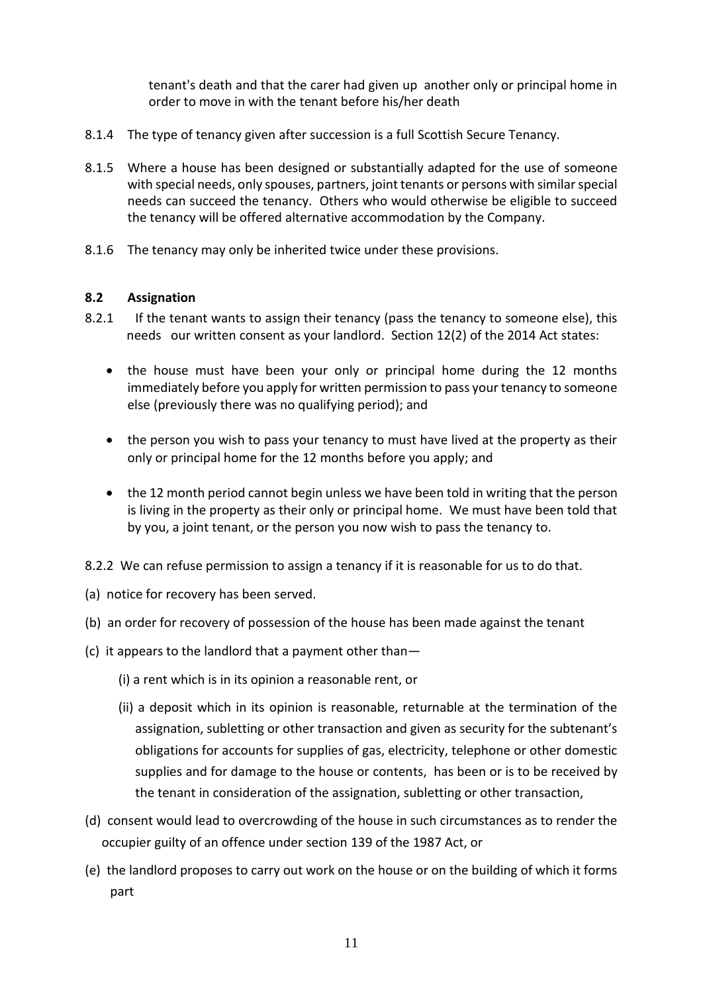tenant's death and that the carer had given up another only or principal home in order to move in with the tenant before his/her death

- 8.1.4 The type of tenancy given after succession is a full Scottish Secure Tenancy.
- 8.1.5 Where a house has been designed or substantially adapted for the use of someone with special needs, only spouses, partners, joint tenants or persons with similar special needs can succeed the tenancy. Others who would otherwise be eligible to succeed the tenancy will be offered alternative accommodation by the Company.
- 8.1.6 The tenancy may only be inherited twice under these provisions.

## **8.2 Assignation**

- 8.2.1 If the tenant wants to assign their tenancy (pass the tenancy to someone else), this needs our written consent as your landlord. Section 12(2) of the 2014 Act states:
	- the house must have been your only or principal home during the 12 months immediately before you apply for written permission to pass your tenancy to someone else (previously there was no qualifying period); and
	- the person you wish to pass your tenancy to must have lived at the property as their only or principal home for the 12 months before you apply; and
	- the 12 month period cannot begin unless we have been told in writing that the person is living in the property as their only or principal home. We must have been told that by you, a joint tenant, or the person you now wish to pass the tenancy to.
- 8.2.2 We can refuse permission to assign a tenancy if it is reasonable for us to do that.
- (a) notice for recovery has been served.
- (b) an order for recovery of possession of the house has been made against the tenant
- (c) it appears to the landlord that a payment other than—
	- (i) a rent which is in its opinion a reasonable rent, or
	- (ii) a deposit which in its opinion is reasonable, returnable at the termination of the assignation, subletting or other transaction and given as security for the subtenant's obligations for accounts for supplies of gas, electricity, telephone or other domestic supplies and for damage to the house or contents, has been or is to be received by the tenant in consideration of the assignation, subletting or other transaction,
- (d) consent would lead to overcrowding of the house in such circumstances as to render the occupier guilty of an offence under section 139 of the 1987 Act, or
- (e) the landlord proposes to carry out work on the house or on the building of which it forms part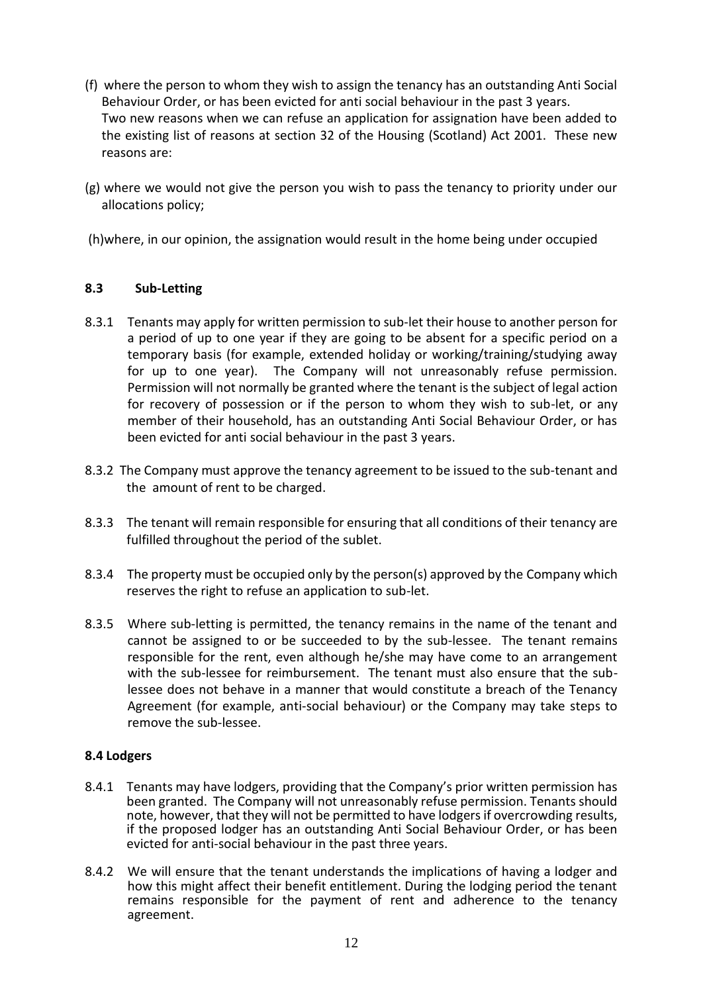- (f) where the person to whom they wish to assign the tenancy has an outstanding Anti Social Behaviour Order, or has been evicted for anti social behaviour in the past 3 years. Two new reasons when we can refuse an application for assignation have been added to the existing list of reasons at section 32 of the Housing (Scotland) Act 2001. These new reasons are:
- (g) where we would not give the person you wish to pass the tenancy to priority under our allocations policy;
- (h)where, in our opinion, the assignation would result in the home being under occupied

## **8.3 Sub-Letting**

- 8.3.1 Tenants may apply for written permission to sub-let their house to another person for a period of up to one year if they are going to be absent for a specific period on a temporary basis (for example, extended holiday or working/training/studying away for up to one year). The Company will not unreasonably refuse permission. Permission will not normally be granted where the tenant is the subject of legal action for recovery of possession or if the person to whom they wish to sub-let, or any member of their household, has an outstanding Anti Social Behaviour Order, or has been evicted for anti social behaviour in the past 3 years.
- 8.3.2 The Company must approve the tenancy agreement to be issued to the sub-tenant and the amount of rent to be charged.
- 8.3.3 The tenant will remain responsible for ensuring that all conditions of their tenancy are fulfilled throughout the period of the sublet.
- 8.3.4 The property must be occupied only by the person(s) approved by the Company which reserves the right to refuse an application to sub-let.
- 8.3.5 Where sub-letting is permitted, the tenancy remains in the name of the tenant and cannot be assigned to or be succeeded to by the sub-lessee. The tenant remains responsible for the rent, even although he/she may have come to an arrangement with the sub-lessee for reimbursement. The tenant must also ensure that the sublessee does not behave in a manner that would constitute a breach of the Tenancy Agreement (for example, anti-social behaviour) or the Company may take steps to remove the sub-lessee.

### **8.4 Lodgers**

- 8.4.1 Tenants may have lodgers, providing that the Company's prior written permission has been granted. The Company will not unreasonably refuse permission. Tenants should note, however, that they will not be permitted to have lodgers if overcrowding results, if the proposed lodger has an outstanding Anti Social Behaviour Order, or has been evicted for anti-social behaviour in the past three years.
- 8.4.2 We will ensure that the tenant understands the implications of having a lodger and how this might affect their benefit entitlement. During the lodging period the tenant remains responsible for the payment of rent and adherence to the tenancy agreement.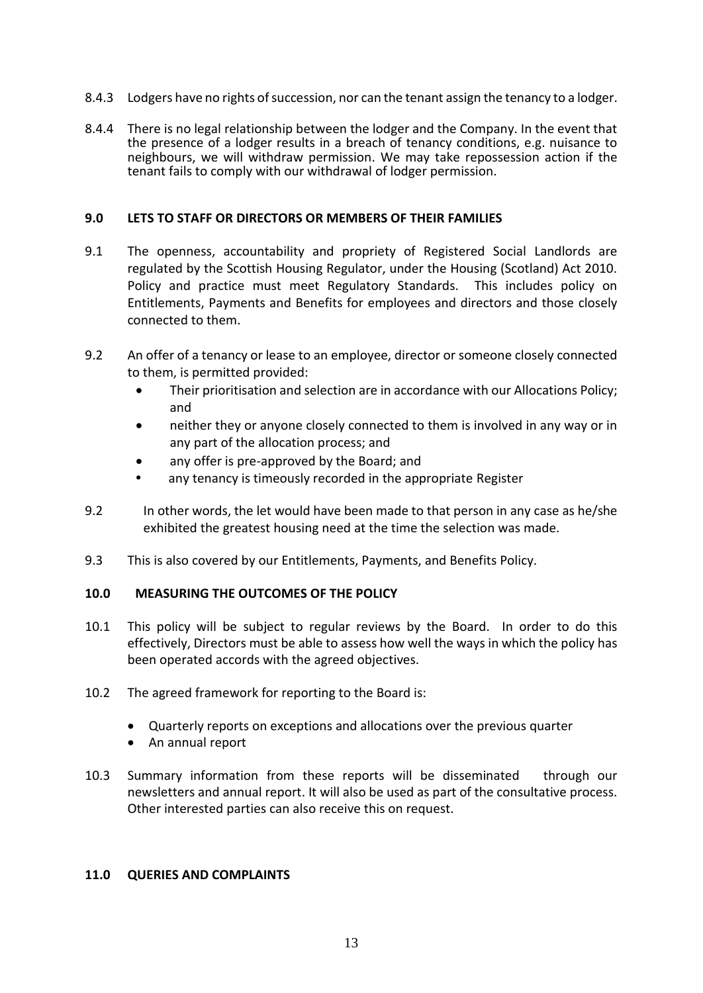- 8.4.3 Lodgers have no rights of succession, nor can the tenant assign the tenancy to a lodger.
- 8.4.4 There is no legal relationship between the lodger and the Company. In the event that the presence of a lodger results in a breach of tenancy conditions, e.g. nuisance to neighbours, we will withdraw permission. We may take repossession action if the tenant fails to comply with our withdrawal of lodger permission.

### **9.0 LETS TO STAFF OR DIRECTORS OR MEMBERS OF THEIR FAMILIES**

- 9.1 The openness, accountability and propriety of Registered Social Landlords are regulated by the Scottish Housing Regulator, under the Housing (Scotland) Act 2010. Policy and practice must meet Regulatory Standards. This includes policy on Entitlements, Payments and Benefits for employees and directors and those closely connected to them.
- 9.2 An offer of a tenancy or lease to an employee, director or someone closely connected to them, is permitted provided:
	- Their prioritisation and selection are in accordance with our Allocations Policy; and
	- neither they or anyone closely connected to them is involved in any way or in any part of the allocation process; and
	- any offer is pre-approved by the Board; and
	- any tenancy is timeously recorded in the appropriate Register
- 9.2 In other words, the let would have been made to that person in any case as he/she exhibited the greatest housing need at the time the selection was made.
- 9.3 This is also covered by our Entitlements, Payments, and Benefits Policy.

## **10.0 MEASURING THE OUTCOMES OF THE POLICY**

- 10.1 This policy will be subject to regular reviews by the Board. In order to do this effectively, Directors must be able to assess how well the ways in which the policy has been operated accords with the agreed objectives.
- 10.2 The agreed framework for reporting to the Board is:
	- Quarterly reports on exceptions and allocations over the previous quarter
	- An annual report
- 10.3 Summary information from these reports will be disseminated through our newsletters and annual report. It will also be used as part of the consultative process. Other interested parties can also receive this on request.

### **11.0 QUERIES AND COMPLAINTS**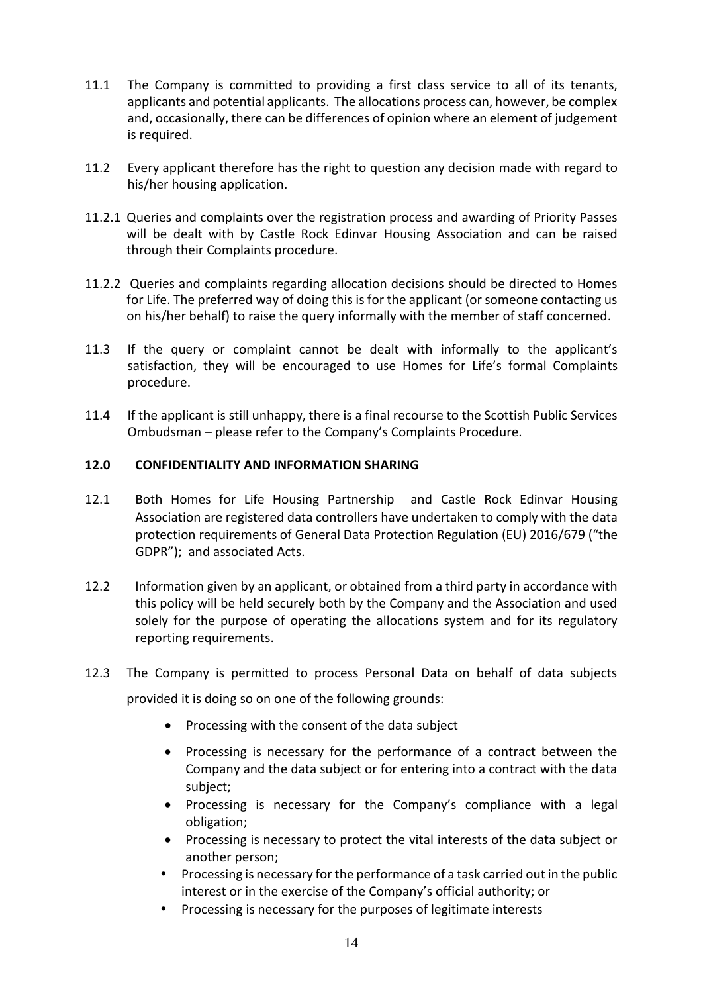- 11.1 The Company is committed to providing a first class service to all of its tenants, applicants and potential applicants. The allocations process can, however, be complex and, occasionally, there can be differences of opinion where an element of judgement is required.
- 11.2 Every applicant therefore has the right to question any decision made with regard to his/her housing application.
- 11.2.1 Queries and complaints over the registration process and awarding of Priority Passes will be dealt with by Castle Rock Edinvar Housing Association and can be raised through their Complaints procedure.
- 11.2.2 Queries and complaints regarding allocation decisions should be directed to Homes for Life. The preferred way of doing this is for the applicant (or someone contacting us on his/her behalf) to raise the query informally with the member of staff concerned.
- 11.3 If the query or complaint cannot be dealt with informally to the applicant's satisfaction, they will be encouraged to use Homes for Life's formal Complaints procedure.
- 11.4 If the applicant is still unhappy, there is a final recourse to the Scottish Public Services Ombudsman – please refer to the Company's Complaints Procedure.

## **12.0 CONFIDENTIALITY AND INFORMATION SHARING**

- 12.1 Both Homes for Life Housing Partnership and Castle Rock Edinvar Housing Association are registered data controllers have undertaken to comply with the data protection requirements of General Data Protection Regulation (EU) 2016/679 ("the GDPR"); and associated Acts.
- 12.2 Information given by an applicant, or obtained from a third party in accordance with this policy will be held securely both by the Company and the Association and used solely for the purpose of operating the allocations system and for its regulatory reporting requirements.
- 12.3 The Company is permitted to process Personal Data on behalf of data subjects provided it is doing so on one of the following grounds:
	- Processing with the consent of the data subject
	- Processing is necessary for the performance of a contract between the Company and the data subject or for entering into a contract with the data subject;
	- Processing is necessary for the Company's compliance with a legal obligation;
	- Processing is necessary to protect the vital interests of the data subject or another person;
	- Processing is necessary for the performance of a task carried out in the public interest or in the exercise of the Company's official authority; or
	- Processing is necessary for the purposes of legitimate interests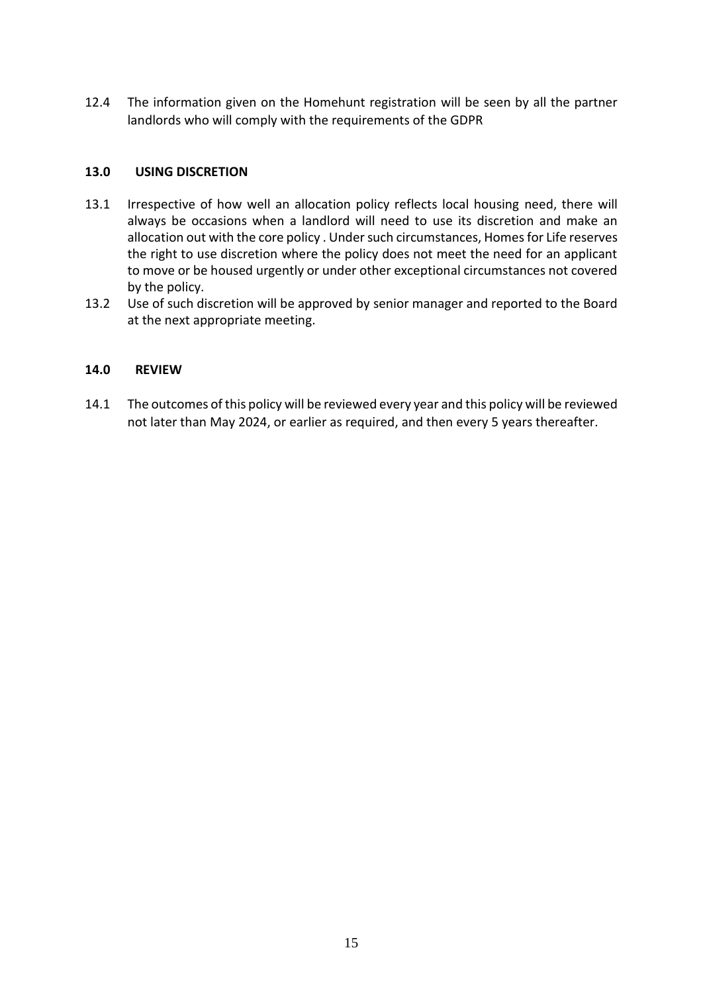12.4 The information given on the Homehunt registration will be seen by all the partner landlords who will comply with the requirements of the GDPR

## **13.0 USING DISCRETION**

- 13.1 Irrespective of how well an allocation policy reflects local housing need, there will always be occasions when a landlord will need to use its discretion and make an allocation out with the core policy . Under such circumstances, Homes for Life reserves the right to use discretion where the policy does not meet the need for an applicant to move or be housed urgently or under other exceptional circumstances not covered by the policy.
- 13.2 Use of such discretion will be approved by senior manager and reported to the Board at the next appropriate meeting.

## **14.0 REVIEW**

14.1 The outcomes of this policy will be reviewed every year and this policy will be reviewed not later than May 2024, or earlier as required, and then every 5 years thereafter.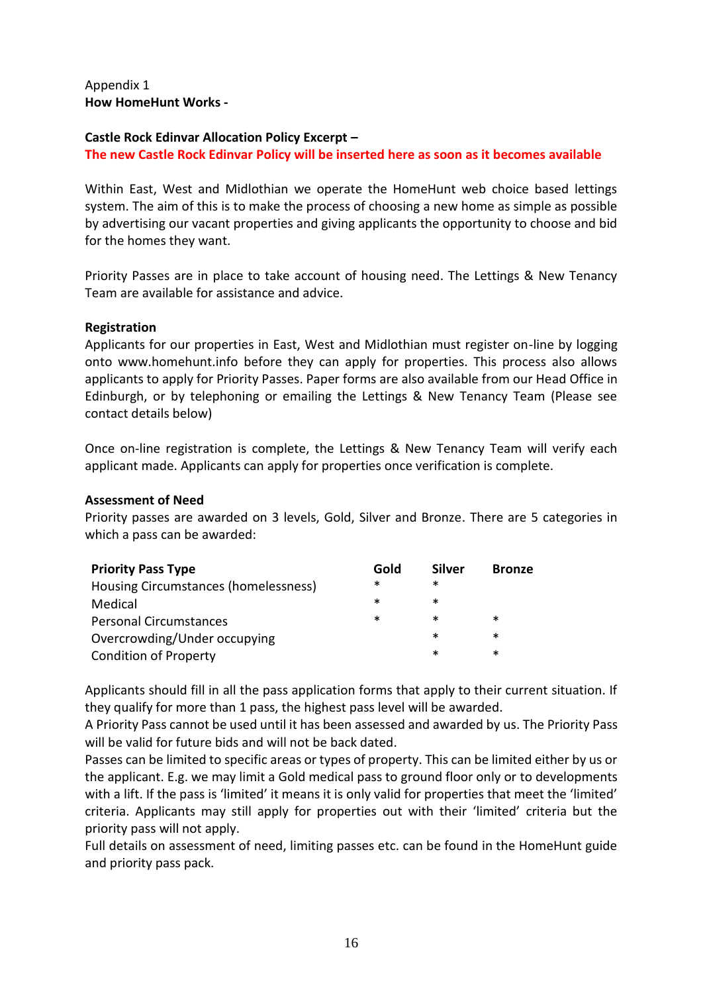### Appendix 1 **How HomeHunt Works -**

## **Castle Rock Edinvar Allocation Policy Excerpt –**

### **The new Castle Rock Edinvar Policy will be inserted here as soon as it becomes available**

Within East, West and Midlothian we operate the HomeHunt web choice based lettings system. The aim of this is to make the process of choosing a new home as simple as possible by advertising our vacant properties and giving applicants the opportunity to choose and bid for the homes they want.

Priority Passes are in place to take account of housing need. The Lettings & New Tenancy Team are available for assistance and advice.

### **Registration**

Applicants for our properties in East, West and Midlothian must register on-line by logging onto www.homehunt.info before they can apply for properties. This process also allows applicants to apply for Priority Passes. Paper forms are also available from our Head Office in Edinburgh, or by telephoning or emailing the Lettings & New Tenancy Team (Please see contact details below)

Once on-line registration is complete, the Lettings & New Tenancy Team will verify each applicant made. Applicants can apply for properties once verification is complete.

#### **Assessment of Need**

Priority passes are awarded on 3 levels, Gold, Silver and Bronze. There are 5 categories in which a pass can be awarded:

| <b>Priority Pass Type</b>            | Gold | <b>Silver</b> | <b>Bronze</b> |
|--------------------------------------|------|---------------|---------------|
| Housing Circumstances (homelessness) | *    | ∗             |               |
| Medical                              | ∗    | ∗             |               |
| <b>Personal Circumstances</b>        | ∗    | ∗             | ∗             |
| Overcrowding/Under occupying         |      | ∗             | ∗             |
| <b>Condition of Property</b>         |      | ∗             | ∗             |

Applicants should fill in all the pass application forms that apply to their current situation. If they qualify for more than 1 pass, the highest pass level will be awarded.

A Priority Pass cannot be used until it has been assessed and awarded by us. The Priority Pass will be valid for future bids and will not be back dated.

Passes can be limited to specific areas or types of property. This can be limited either by us or the applicant. E.g. we may limit a Gold medical pass to ground floor only or to developments with a lift. If the pass is 'limited' it means it is only valid for properties that meet the 'limited' criteria. Applicants may still apply for properties out with their 'limited' criteria but the priority pass will not apply.

Full details on assessment of need, limiting passes etc. can be found in the HomeHunt guide and priority pass pack.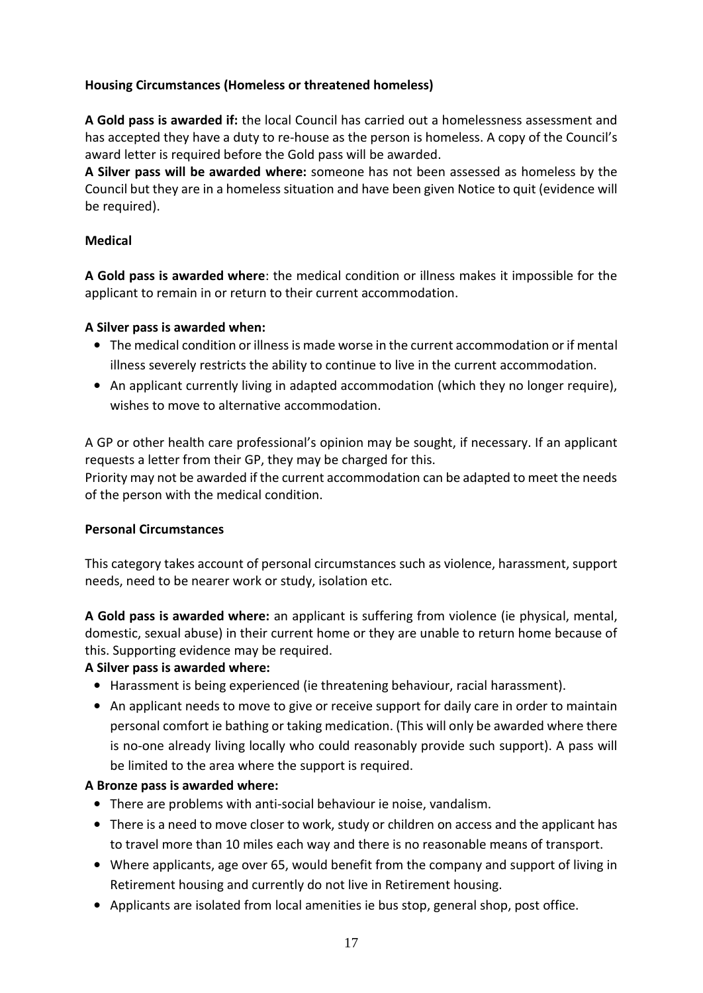# **Housing Circumstances (Homeless or threatened homeless)**

**A Gold pass is awarded if:** the local Council has carried out a homelessness assessment and has accepted they have a duty to re-house as the person is homeless. A copy of the Council's award letter is required before the Gold pass will be awarded.

**A Silver pass will be awarded where:** someone has not been assessed as homeless by the Council but they are in a homeless situation and have been given Notice to quit (evidence will be required).

# **Medical**

**A Gold pass is awarded where**: the medical condition or illness makes it impossible for the applicant to remain in or return to their current accommodation.

# **A Silver pass is awarded when:**

- The medical condition or illness is made worse in the current accommodation or if mental illness severely restricts the ability to continue to live in the current accommodation.
- An applicant currently living in adapted accommodation (which they no longer require), wishes to move to alternative accommodation.

A GP or other health care professional's opinion may be sought, if necessary. If an applicant requests a letter from their GP, they may be charged for this.

Priority may not be awarded if the current accommodation can be adapted to meet the needs of the person with the medical condition.

## **Personal Circumstances**

This category takes account of personal circumstances such as violence, harassment, support needs, need to be nearer work or study, isolation etc.

**A Gold pass is awarded where:** an applicant is suffering from violence (ie physical, mental, domestic, sexual abuse) in their current home or they are unable to return home because of this. Supporting evidence may be required.

# **A Silver pass is awarded where:**

- Harassment is being experienced (ie threatening behaviour, racial harassment).
- An applicant needs to move to give or receive support for daily care in order to maintain personal comfort ie bathing or taking medication. (This will only be awarded where there is no-one already living locally who could reasonably provide such support). A pass will be limited to the area where the support is required.

## **A Bronze pass is awarded where:**

- There are problems with anti-social behaviour ie noise, vandalism.
- There is a need to move closer to work, study or children on access and the applicant has to travel more than 10 miles each way and there is no reasonable means of transport.
- Where applicants, age over 65, would benefit from the company and support of living in Retirement housing and currently do not live in Retirement housing.
- Applicants are isolated from local amenities ie bus stop, general shop, post office.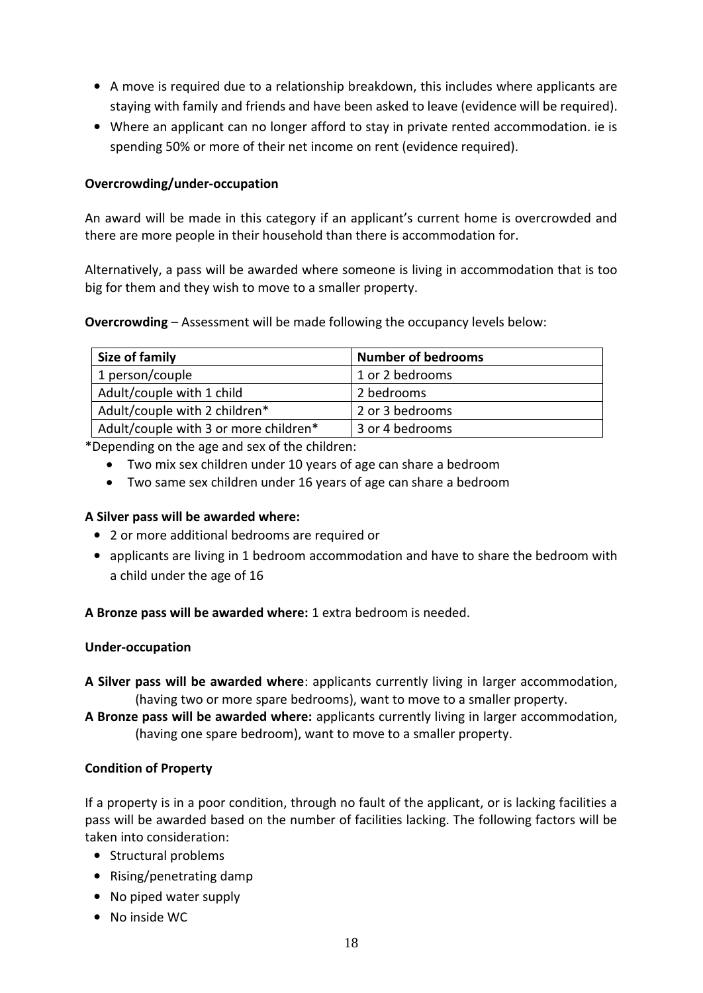- A move is required due to a relationship breakdown, this includes where applicants are staying with family and friends and have been asked to leave (evidence will be required).
- Where an applicant can no longer afford to stay in private rented accommodation. ie is spending 50% or more of their net income on rent (evidence required).

# **Overcrowding/under-occupation**

An award will be made in this category if an applicant's current home is overcrowded and there are more people in their household than there is accommodation for.

Alternatively, a pass will be awarded where someone is living in accommodation that is too big for them and they wish to move to a smaller property.

**Overcrowding** – Assessment will be made following the occupancy levels below:

| Size of family                        | <b>Number of bedrooms</b> |
|---------------------------------------|---------------------------|
| 1 person/couple                       | 1 or 2 bedrooms           |
| Adult/couple with 1 child             | 2 bedrooms                |
| Adult/couple with 2 children*         | 2 or 3 bedrooms           |
| Adult/couple with 3 or more children* | 3 or 4 bedrooms           |

\*Depending on the age and sex of the children:

- Two mix sex children under 10 years of age can share a bedroom
- Two same sex children under 16 years of age can share a bedroom

## **A Silver pass will be awarded where:**

- 2 or more additional bedrooms are required or
- applicants are living in 1 bedroom accommodation and have to share the bedroom with a child under the age of 16

**A Bronze pass will be awarded where:** 1 extra bedroom is needed.

### **Under-occupation**

- **A Silver pass will be awarded where**: applicants currently living in larger accommodation, (having two or more spare bedrooms), want to move to a smaller property.
- **A Bronze pass will be awarded where:** applicants currently living in larger accommodation, (having one spare bedroom), want to move to a smaller property.

## **Condition of Property**

If a property is in a poor condition, through no fault of the applicant, or is lacking facilities a pass will be awarded based on the number of facilities lacking. The following factors will be taken into consideration:

- Structural problems
- Rising/penetrating damp
- No piped water supply
- No inside WC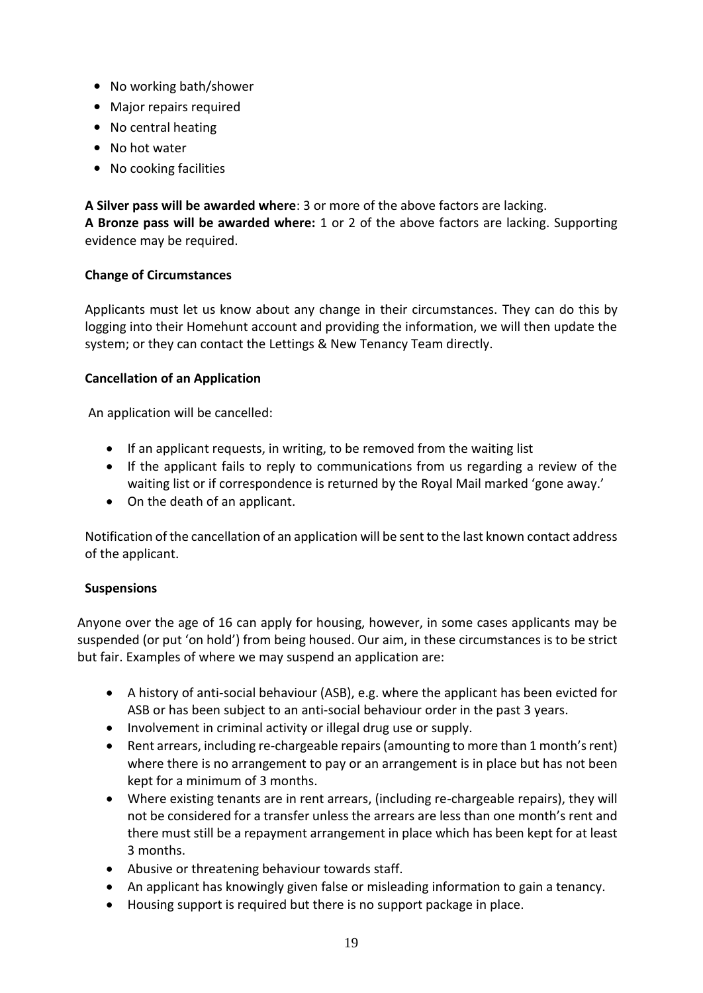- No working bath/shower
- Major repairs required
- No central heating
- No hot water
- No cooking facilities

**A Silver pass will be awarded where**: 3 or more of the above factors are lacking. **A Bronze pass will be awarded where:** 1 or 2 of the above factors are lacking. Supporting evidence may be required.

## **Change of Circumstances**

Applicants must let us know about any change in their circumstances. They can do this by logging into their Homehunt account and providing the information, we will then update the system; or they can contact the Lettings & New Tenancy Team directly.

## **Cancellation of an Application**

An application will be cancelled:

- If an applicant requests, in writing, to be removed from the waiting list
- If the applicant fails to reply to communications from us regarding a review of the waiting list or if correspondence is returned by the Royal Mail marked 'gone away.'
- On the death of an applicant.

Notification of the cancellation of an application will be sent to the last known contact address of the applicant.

## **Suspensions**

Anyone over the age of 16 can apply for housing, however, in some cases applicants may be suspended (or put 'on hold') from being housed. Our aim, in these circumstances is to be strict but fair. Examples of where we may suspend an application are:

- A history of anti-social behaviour (ASB), e.g. where the applicant has been evicted for ASB or has been subject to an anti-social behaviour order in the past 3 years.
- Involvement in criminal activity or illegal drug use or supply.
- Rent arrears, including re-chargeable repairs (amounting to more than 1 month's rent) where there is no arrangement to pay or an arrangement is in place but has not been kept for a minimum of 3 months.
- Where existing tenants are in rent arrears, (including re-chargeable repairs), they will not be considered for a transfer unless the arrears are less than one month's rent and there must still be a repayment arrangement in place which has been kept for at least 3 months.
- Abusive or threatening behaviour towards staff.
- An applicant has knowingly given false or misleading information to gain a tenancy.
- Housing support is required but there is no support package in place.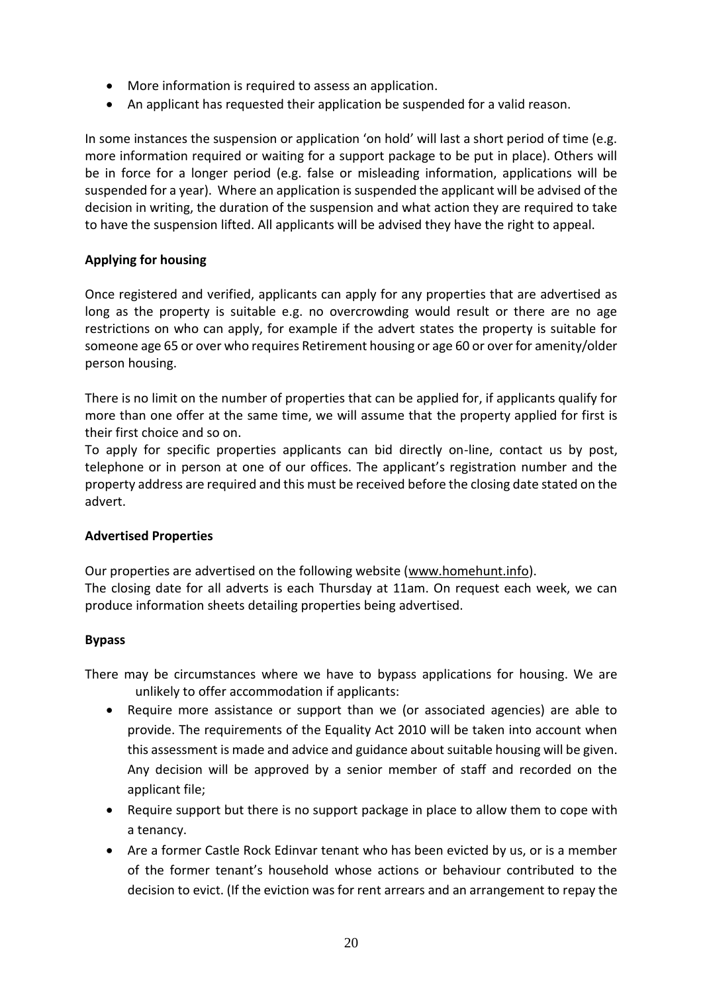- More information is required to assess an application.
- An applicant has requested their application be suspended for a valid reason.

In some instances the suspension or application 'on hold' will last a short period of time (e.g. more information required or waiting for a support package to be put in place). Others will be in force for a longer period (e.g. false or misleading information, applications will be suspended for a year). Where an application is suspended the applicant will be advised of the decision in writing, the duration of the suspension and what action they are required to take to have the suspension lifted. All applicants will be advised they have the right to appeal.

# **Applying for housing**

Once registered and verified, applicants can apply for any properties that are advertised as long as the property is suitable e.g. no overcrowding would result or there are no age restrictions on who can apply, for example if the advert states the property is suitable for someone age 65 or over who requires Retirement housing or age 60 or over for amenity/older person housing.

There is no limit on the number of properties that can be applied for, if applicants qualify for more than one offer at the same time, we will assume that the property applied for first is their first choice and so on.

To apply for specific properties applicants can bid directly on-line, contact us by post, telephone or in person at one of our offices. The applicant's registration number and the property address are required and this must be received before the closing date stated on the advert.

## **Advertised Properties**

Our properties are advertised on the following website [\(www.homehunt.info\)](http://www.homehunt.info/). The closing date for all adverts is each Thursday at 11am. On request each week, we can produce information sheets detailing properties being advertised.

## **Bypass**

There may be circumstances where we have to bypass applications for housing. We are unlikely to offer accommodation if applicants:

- Require more assistance or support than we (or associated agencies) are able to provide. The requirements of the Equality Act 2010 will be taken into account when this assessment is made and advice and guidance about suitable housing will be given. Any decision will be approved by a senior member of staff and recorded on the applicant file;
- Require support but there is no support package in place to allow them to cope with a tenancy.
- Are a former Castle Rock Edinvar tenant who has been evicted by us, or is a member of the former tenant's household whose actions or behaviour contributed to the decision to evict. (If the eviction was for rent arrears and an arrangement to repay the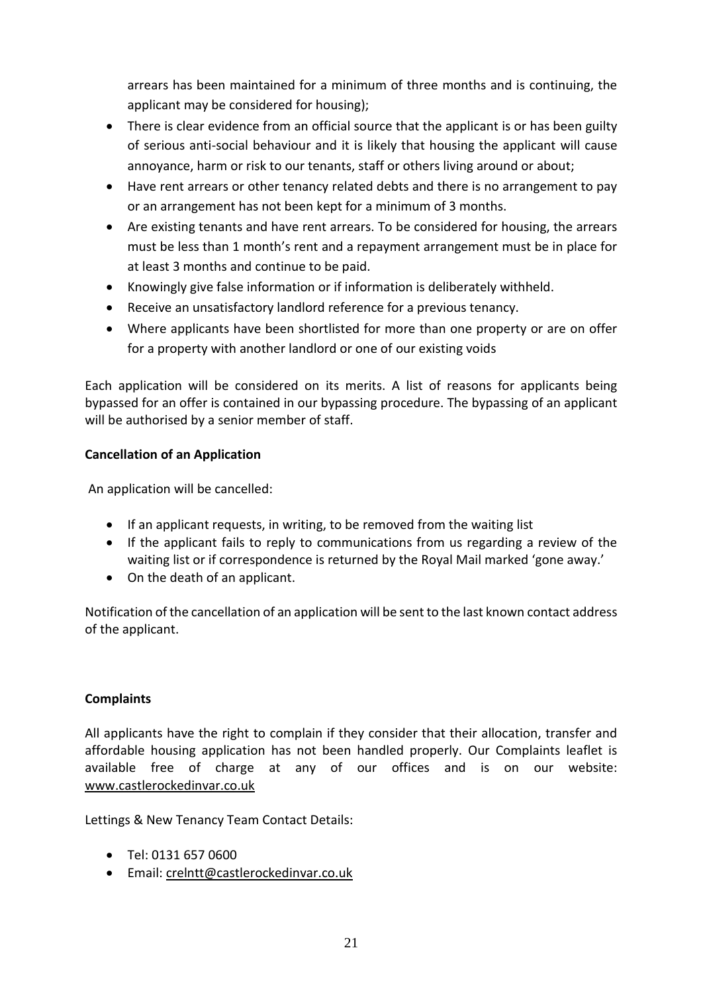arrears has been maintained for a minimum of three months and is continuing, the applicant may be considered for housing);

- There is clear evidence from an official source that the applicant is or has been guilty of serious anti-social behaviour and it is likely that housing the applicant will cause annoyance, harm or risk to our tenants, staff or others living around or about;
- Have rent arrears or other tenancy related debts and there is no arrangement to pay or an arrangement has not been kept for a minimum of 3 months.
- Are existing tenants and have rent arrears. To be considered for housing, the arrears must be less than 1 month's rent and a repayment arrangement must be in place for at least 3 months and continue to be paid.
- Knowingly give false information or if information is deliberately withheld.
- Receive an unsatisfactory landlord reference for a previous tenancy.
- Where applicants have been shortlisted for more than one property or are on offer for a property with another landlord or one of our existing voids

Each application will be considered on its merits. A list of reasons for applicants being bypassed for an offer is contained in our bypassing procedure. The bypassing of an applicant will be authorised by a senior member of staff.

# **Cancellation of an Application**

An application will be cancelled:

- If an applicant requests, in writing, to be removed from the waiting list
- If the applicant fails to reply to communications from us regarding a review of the waiting list or if correspondence is returned by the Royal Mail marked 'gone away.'
- On the death of an applicant.

Notification of the cancellation of an application will be sent to the last known contact address of the applicant.

## **Complaints**

All applicants have the right to complain if they consider that their allocation, transfer and affordable housing application has not been handled properly. Our Complaints leaflet is available free of charge at any of our offices and is on our website: [www.castlerockedinvar.co.uk](http://www.castlerockedinvar.co.uk/)

Lettings & New Tenancy Team Contact Details:

- Tel: 0131 657 0600
- Email: [crelntt@castlerockedinvar.co.uk](mailto:crelntt@castlerockedinvar.co.uk)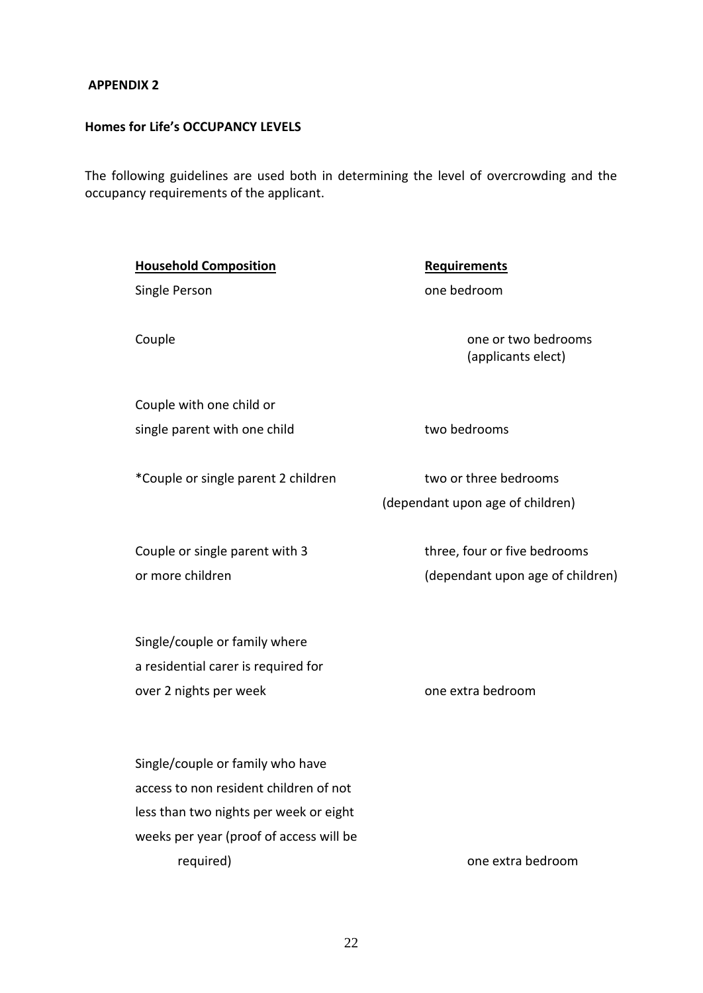# **APPENDIX 2**

# **Homes for Life's OCCUPANCY LEVELS**

The following guidelines are used both in determining the level of overcrowding and the occupancy requirements of the applicant.

| <b>Household Composition</b>                                         | <b>Requirements</b>                                              |
|----------------------------------------------------------------------|------------------------------------------------------------------|
| Single Person                                                        | one bedroom                                                      |
| Couple                                                               | one or two bedrooms<br>(applicants elect)                        |
| Couple with one child or                                             |                                                                  |
| single parent with one child                                         | two bedrooms                                                     |
|                                                                      |                                                                  |
| *Couple or single parent 2 children                                  | two or three bedrooms                                            |
|                                                                      | (dependant upon age of children)                                 |
| Couple or single parent with 3<br>or more children                   | three, four or five bedrooms<br>(dependant upon age of children) |
| Single/couple or family where<br>a residential carer is required for |                                                                  |
| over 2 nights per week                                               | one extra bedroom                                                |
|                                                                      |                                                                  |
| Single/couple or family who have                                     |                                                                  |
| access to non resident children of not                               |                                                                  |
| less than two nights per week or eight                               |                                                                  |
| weeks per year (proof of access will be                              |                                                                  |

required) and the contract of the contract of the contract of the contract of the contract of the contract of the contract of the contract of the contract of the contract of the contract of the contract of the contract of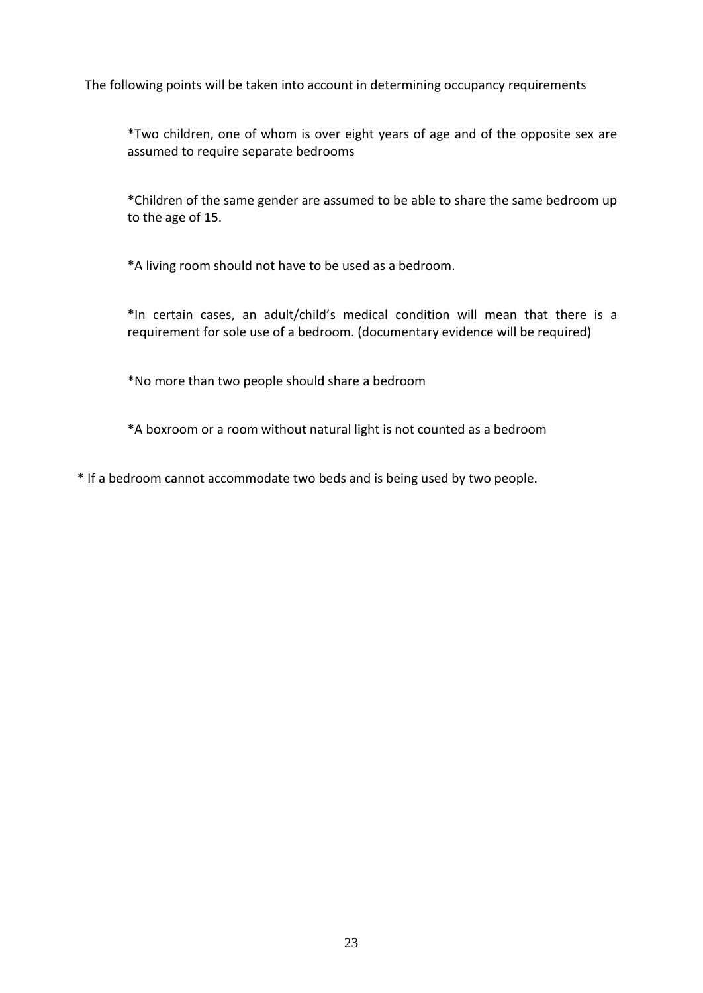The following points will be taken into account in determining occupancy requirements

\*Two children, one of whom is over eight years of age and of the opposite sex are assumed to require separate bedrooms

\*Children of the same gender are assumed to be able to share the same bedroom up to the age of 15.

\*A living room should not have to be used as a bedroom.

\*In certain cases, an adult/child's medical condition will mean that there is a requirement for sole use of a bedroom. (documentary evidence will be required)

\*No more than two people should share a bedroom

\*A boxroom or a room without natural light is not counted as a bedroom

\* If a bedroom cannot accommodate two beds and is being used by two people.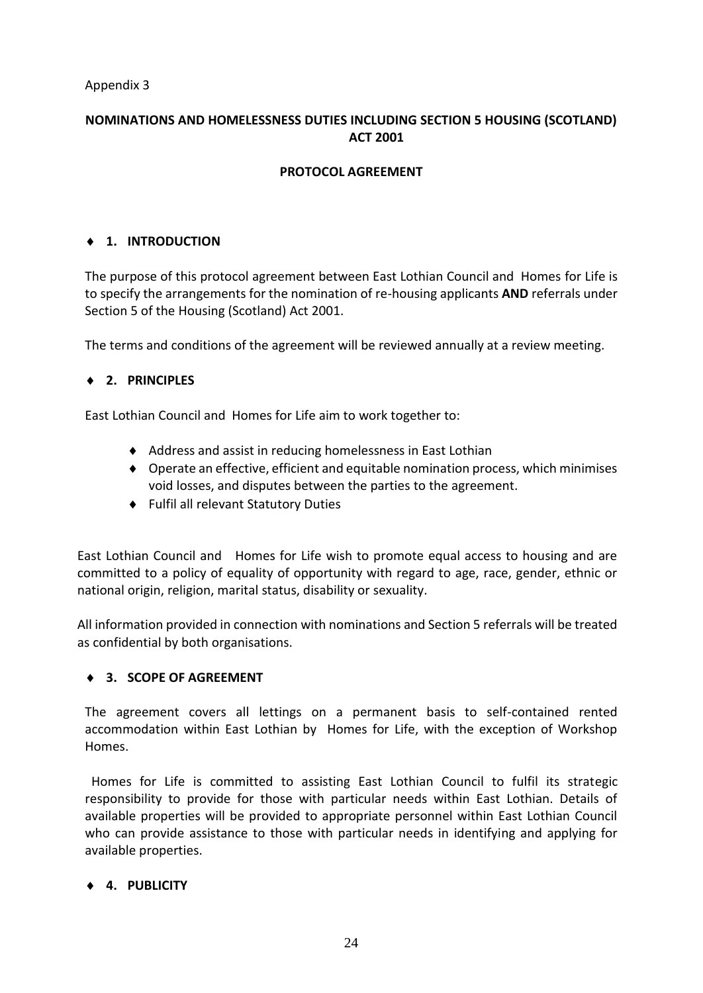Appendix 3

# **NOMINATIONS AND HOMELESSNESS DUTIES INCLUDING SECTION 5 HOUSING (SCOTLAND) ACT 2001**

# **PROTOCOL AGREEMENT**

# **1. INTRODUCTION**

The purpose of this protocol agreement between East Lothian Council and Homes for Life is to specify the arrangements for the nomination of re-housing applicants **AND** referrals under Section 5 of the Housing (Scotland) Act 2001.

The terms and conditions of the agreement will be reviewed annually at a review meeting.

## **2. PRINCIPLES**

East Lothian Council and Homes for Life aim to work together to:

- Address and assist in reducing homelessness in East Lothian
- Operate an effective, efficient and equitable nomination process, which minimises void losses, and disputes between the parties to the agreement.
- Fulfil all relevant Statutory Duties

East Lothian Council and Homes for Life wish to promote equal access to housing and are committed to a policy of equality of opportunity with regard to age, race, gender, ethnic or national origin, religion, marital status, disability or sexuality.

All information provided in connection with nominations and Section 5 referrals will be treated as confidential by both organisations.

## **3. SCOPE OF AGREEMENT**

The agreement covers all lettings on a permanent basis to self-contained rented accommodation within East Lothian by Homes for Life, with the exception of Workshop Homes.

 Homes for Life is committed to assisting East Lothian Council to fulfil its strategic responsibility to provide for those with particular needs within East Lothian. Details of available properties will be provided to appropriate personnel within East Lothian Council who can provide assistance to those with particular needs in identifying and applying for available properties.

## **4. PUBLICITY**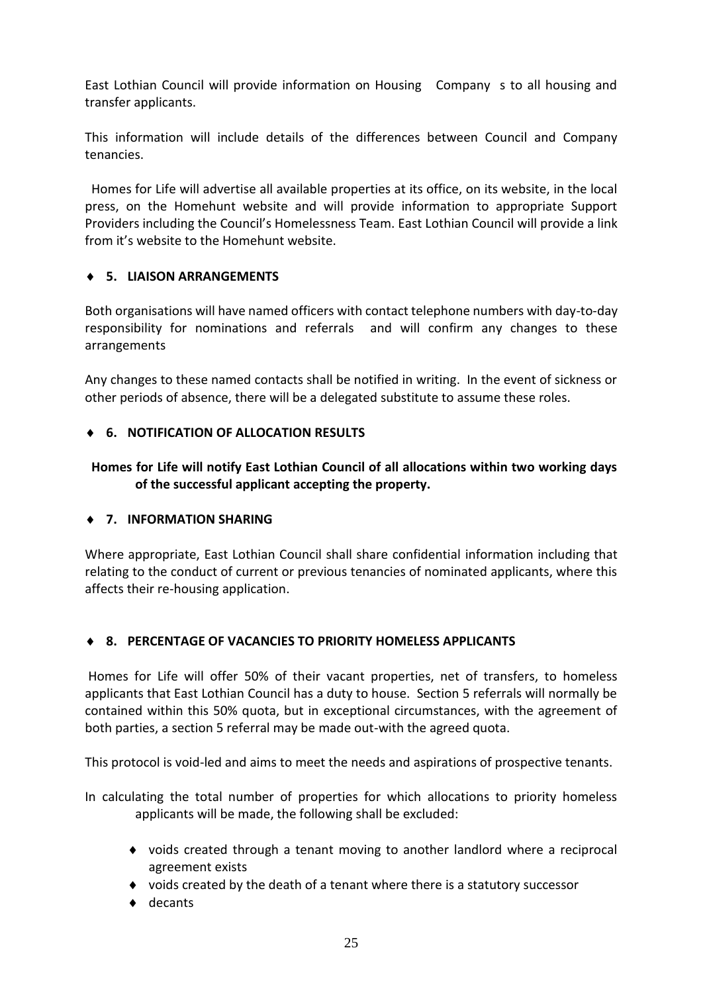East Lothian Council will provide information on Housing Company s to all housing and transfer applicants.

This information will include details of the differences between Council and Company tenancies.

 Homes for Life will advertise all available properties at its office, on its website, in the local press, on the Homehunt website and will provide information to appropriate Support Providers including the Council's Homelessness Team. East Lothian Council will provide a link from it's website to the Homehunt website.

## **5. LIAISON ARRANGEMENTS**

Both organisations will have named officers with contact telephone numbers with day-to-day responsibility for nominations and referrals and will confirm any changes to these arrangements

Any changes to these named contacts shall be notified in writing. In the event of sickness or other periods of absence, there will be a delegated substitute to assume these roles.

## **6. NOTIFICATION OF ALLOCATION RESULTS**

# **Homes for Life will notify East Lothian Council of all allocations within two working days of the successful applicant accepting the property.**

### **7. INFORMATION SHARING**

Where appropriate, East Lothian Council shall share confidential information including that relating to the conduct of current or previous tenancies of nominated applicants, where this affects their re-housing application.

### **8. PERCENTAGE OF VACANCIES TO PRIORITY HOMELESS APPLICANTS**

Homes for Life will offer 50% of their vacant properties, net of transfers, to homeless applicants that East Lothian Council has a duty to house. Section 5 referrals will normally be contained within this 50% quota, but in exceptional circumstances, with the agreement of both parties, a section 5 referral may be made out-with the agreed quota.

This protocol is void-led and aims to meet the needs and aspirations of prospective tenants.

In calculating the total number of properties for which allocations to priority homeless applicants will be made, the following shall be excluded:

- voids created through a tenant moving to another landlord where a reciprocal agreement exists
- voids created by the death of a tenant where there is a statutory successor
- ◆ decants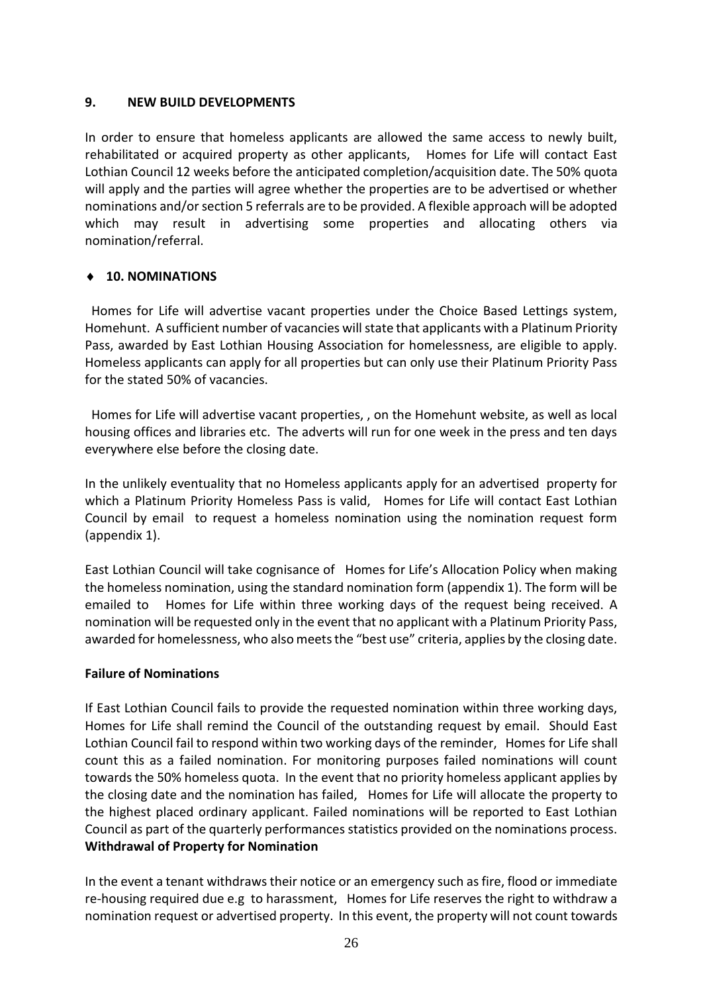## **9. NEW BUILD DEVELOPMENTS**

In order to ensure that homeless applicants are allowed the same access to newly built, rehabilitated or acquired property as other applicants, Homes for Life will contact East Lothian Council 12 weeks before the anticipated completion/acquisition date. The 50% quota will apply and the parties will agree whether the properties are to be advertised or whether nominations and/or section 5 referrals are to be provided. A flexible approach will be adopted which may result in advertising some properties and allocating others via nomination/referral.

## **10. NOMINATIONS**

 Homes for Life will advertise vacant properties under the Choice Based Lettings system, Homehunt. A sufficient number of vacancies will state that applicants with a Platinum Priority Pass, awarded by East Lothian Housing Association for homelessness, are eligible to apply. Homeless applicants can apply for all properties but can only use their Platinum Priority Pass for the stated 50% of vacancies.

 Homes for Life will advertise vacant properties, , on the Homehunt website, as well as local housing offices and libraries etc. The adverts will run for one week in the press and ten days everywhere else before the closing date.

In the unlikely eventuality that no Homeless applicants apply for an advertised property for which a Platinum Priority Homeless Pass is valid, Homes for Life will contact East Lothian Council by email to request a homeless nomination using the nomination request form (appendix 1).

East Lothian Council will take cognisance of Homes for Life's Allocation Policy when making the homeless nomination, using the standard nomination form (appendix 1). The form will be emailed to Homes for Life within three working days of the request being received. A nomination will be requested only in the event that no applicant with a Platinum Priority Pass, awarded for homelessness, who also meets the "best use" criteria, applies by the closing date.

### **Failure of Nominations**

If East Lothian Council fails to provide the requested nomination within three working days, Homes for Life shall remind the Council of the outstanding request by email. Should East Lothian Council fail to respond within two working days of the reminder, Homes for Life shall count this as a failed nomination. For monitoring purposes failed nominations will count towards the 50% homeless quota. In the event that no priority homeless applicant applies by the closing date and the nomination has failed, Homes for Life will allocate the property to the highest placed ordinary applicant. Failed nominations will be reported to East Lothian Council as part of the quarterly performances statistics provided on the nominations process. **Withdrawal of Property for Nomination**

In the event a tenant withdraws their notice or an emergency such as fire, flood or immediate re-housing required due e.g to harassment, Homes for Life reserves the right to withdraw a nomination request or advertised property. In this event, the property will not count towards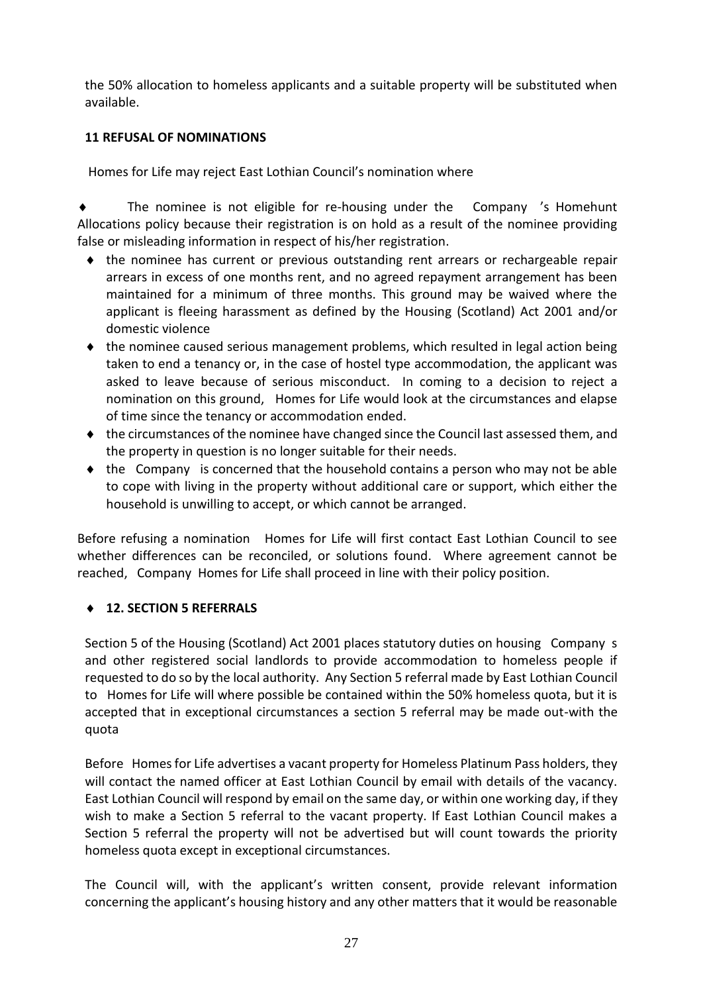the 50% allocation to homeless applicants and a suitable property will be substituted when available.

## **11 REFUSAL OF NOMINATIONS**

Homes for Life may reject East Lothian Council's nomination where

 The nominee is not eligible for re-housing under the Company 's Homehunt Allocations policy because their registration is on hold as a result of the nominee providing false or misleading information in respect of his/her registration.

- the nominee has current or previous outstanding rent arrears or rechargeable repair arrears in excess of one months rent, and no agreed repayment arrangement has been maintained for a minimum of three months. This ground may be waived where the applicant is fleeing harassment as defined by the Housing (Scotland) Act 2001 and/or domestic violence
- $\bullet$  the nominee caused serious management problems, which resulted in legal action being taken to end a tenancy or, in the case of hostel type accommodation, the applicant was asked to leave because of serious misconduct. In coming to a decision to reject a nomination on this ground, Homes for Life would look at the circumstances and elapse of time since the tenancy or accommodation ended.
- the circumstances of the nominee have changed since the Council last assessed them, and the property in question is no longer suitable for their needs.
- $\bullet$  the Company is concerned that the household contains a person who may not be able to cope with living in the property without additional care or support, which either the household is unwilling to accept, or which cannot be arranged.

Before refusing a nomination Homes for Life will first contact East Lothian Council to see whether differences can be reconciled, or solutions found. Where agreement cannot be reached, Company Homes for Life shall proceed in line with their policy position.

## **12. SECTION 5 REFERRALS**

Section 5 of the Housing (Scotland) Act 2001 places statutory duties on housing Company s and other registered social landlords to provide accommodation to homeless people if requested to do so by the local authority. Any Section 5 referral made by East Lothian Council to Homes for Life will where possible be contained within the 50% homeless quota, but it is accepted that in exceptional circumstances a section 5 referral may be made out-with the quota

Before Homes for Life advertises a vacant property for Homeless Platinum Pass holders, they will contact the named officer at East Lothian Council by email with details of the vacancy. East Lothian Council will respond by email on the same day, or within one working day, if they wish to make a Section 5 referral to the vacant property. If East Lothian Council makes a Section 5 referral the property will not be advertised but will count towards the priority homeless quota except in exceptional circumstances.

The Council will, with the applicant's written consent, provide relevant information concerning the applicant's housing history and any other matters that it would be reasonable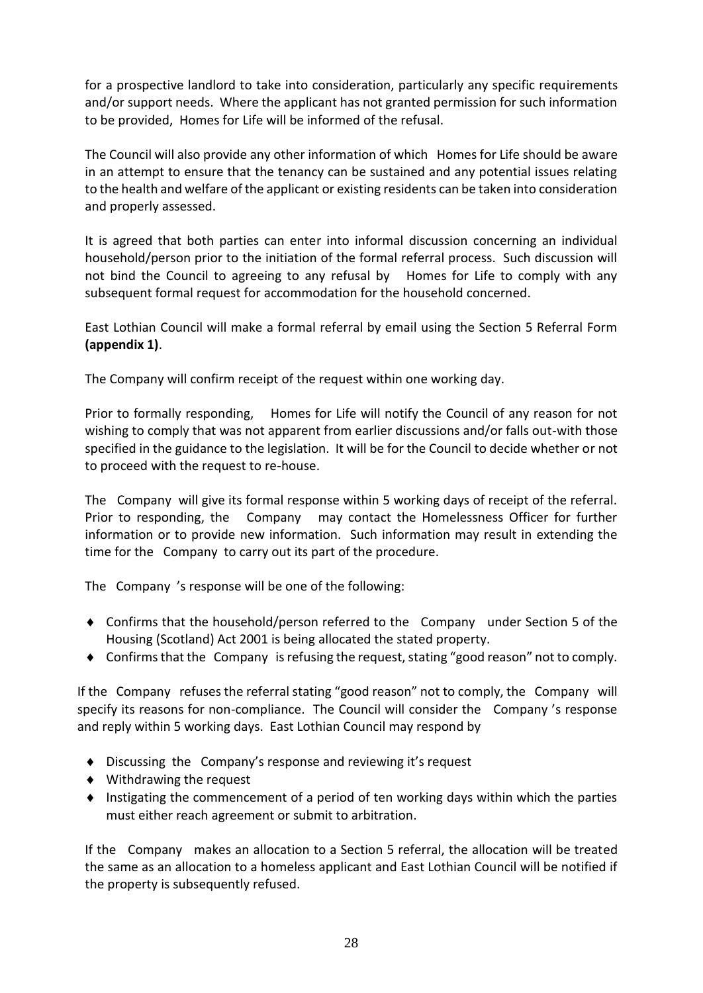for a prospective landlord to take into consideration, particularly any specific requirements and/or support needs. Where the applicant has not granted permission for such information to be provided, Homes for Life will be informed of the refusal.

The Council will also provide any other information of which Homes for Life should be aware in an attempt to ensure that the tenancy can be sustained and any potential issues relating to the health and welfare of the applicant or existing residents can be taken into consideration and properly assessed.

It is agreed that both parties can enter into informal discussion concerning an individual household/person prior to the initiation of the formal referral process. Such discussion will not bind the Council to agreeing to any refusal by Homes for Life to comply with any subsequent formal request for accommodation for the household concerned.

East Lothian Council will make a formal referral by email using the Section 5 Referral Form **(appendix 1)**.

The Company will confirm receipt of the request within one working day.

Prior to formally responding, Homes for Life will notify the Council of any reason for not wishing to comply that was not apparent from earlier discussions and/or falls out-with those specified in the guidance to the legislation. It will be for the Council to decide whether or not to proceed with the request to re-house.

The Company will give its formal response within 5 working days of receipt of the referral. Prior to responding, the Company may contact the Homelessness Officer for further information or to provide new information. Such information may result in extending the time for the Company to carry out its part of the procedure.

The Company 's response will be one of the following:

- Confirms that the household/person referred to the Company under Section 5 of the Housing (Scotland) Act 2001 is being allocated the stated property.
- Confirms that the Company is refusing the request, stating "good reason" not to comply.

If the Company refuses the referral stating "good reason" not to comply, the Company will specify its reasons for non-compliance. The Council will consider the Company 's response and reply within 5 working days. East Lothian Council may respond by

- ◆ Discussing the Company's response and reviewing it's request
- Withdrawing the request
- $\bullet$  Instigating the commencement of a period of ten working days within which the parties must either reach agreement or submit to arbitration.

If the Company makes an allocation to a Section 5 referral, the allocation will be treated the same as an allocation to a homeless applicant and East Lothian Council will be notified if the property is subsequently refused.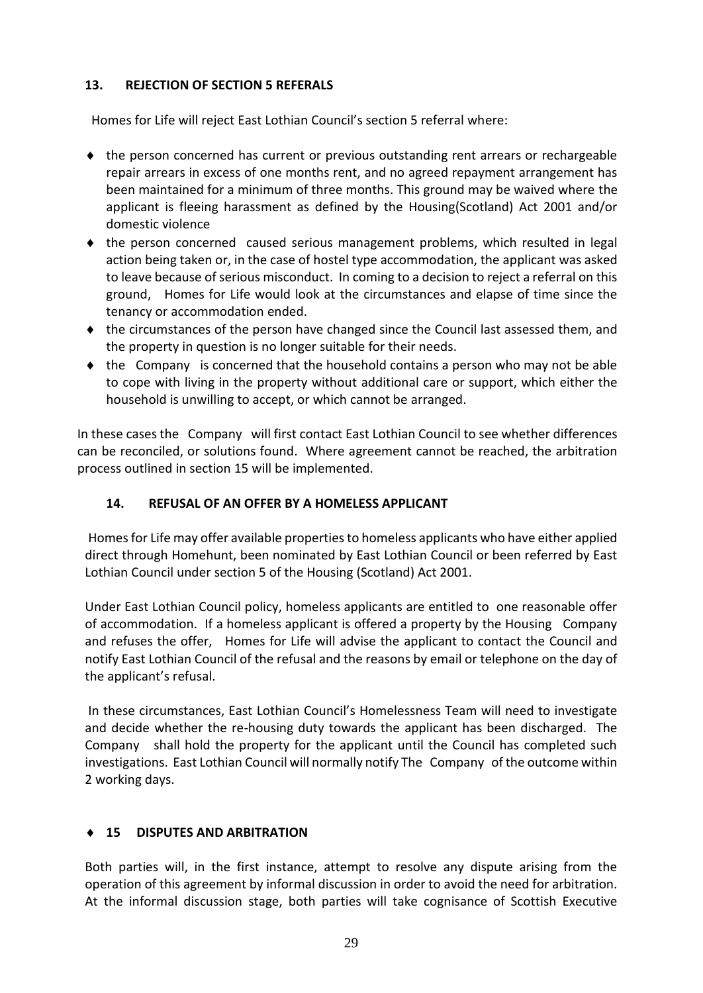# **13. REJECTION OF SECTION 5 REFERALS**

Homes for Life will reject East Lothian Council's section 5 referral where:

- the person concerned has current or previous outstanding rent arrears or rechargeable repair arrears in excess of one months rent, and no agreed repayment arrangement has been maintained for a minimum of three months. This ground may be waived where the applicant is fleeing harassment as defined by the Housing(Scotland) Act 2001 and/or domestic violence
- $\bullet$  the person concerned caused serious management problems, which resulted in legal action being taken or, in the case of hostel type accommodation, the applicant was asked to leave because of serious misconduct. In coming to a decision to reject a referral on this ground, Homes for Life would look at the circumstances and elapse of time since the tenancy or accommodation ended.
- $\bullet$  the circumstances of the person have changed since the Council last assessed them, and the property in question is no longer suitable for their needs.
- $\bullet$  the Company is concerned that the household contains a person who may not be able to cope with living in the property without additional care or support, which either the household is unwilling to accept, or which cannot be arranged.

In these cases the Company will first contact East Lothian Council to see whether differences can be reconciled, or solutions found. Where agreement cannot be reached, the arbitration process outlined in section 15 will be implemented.

# **14. REFUSAL OF AN OFFER BY A HOMELESS APPLICANT**

Homes for Life may offer available properties to homeless applicants who have either applied direct through Homehunt, been nominated by East Lothian Council or been referred by East Lothian Council under section 5 of the Housing (Scotland) Act 2001.

Under East Lothian Council policy, homeless applicants are entitled to one reasonable offer of accommodation. If a homeless applicant is offered a property by the Housing Company and refuses the offer, Homes for Life will advise the applicant to contact the Council and notify East Lothian Council of the refusal and the reasons by email or telephone on the day of the applicant's refusal.

In these circumstances, East Lothian Council's Homelessness Team will need to investigate and decide whether the re-housing duty towards the applicant has been discharged. The Company shall hold the property for the applicant until the Council has completed such investigations. East Lothian Council will normally notify The Company of the outcome within 2 working days.

# **15 DISPUTES AND ARBITRATION**

Both parties will, in the first instance, attempt to resolve any dispute arising from the operation of this agreement by informal discussion in order to avoid the need for arbitration. At the informal discussion stage, both parties will take cognisance of Scottish Executive